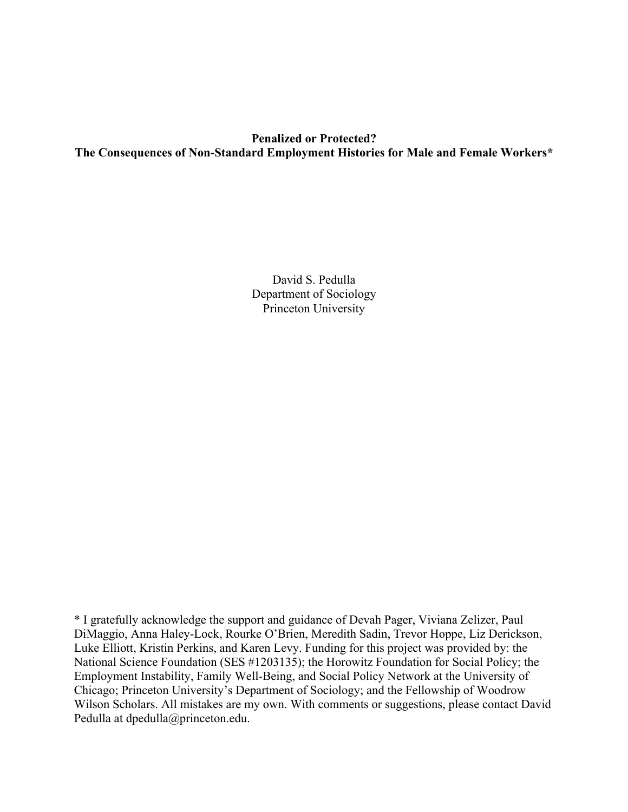# **Penalized or Protected? The Consequences of Non-Standard Employment Histories for Male and Female Workers\***

David S. Pedulla Department of Sociology Princeton University

\* I gratefully acknowledge the support and guidance of Devah Pager, Viviana Zelizer, Paul DiMaggio, Anna Haley-Lock, Rourke O'Brien, Meredith Sadin, Trevor Hoppe, Liz Derickson, Luke Elliott, Kristin Perkins, and Karen Levy. Funding for this project was provided by: the National Science Foundation (SES #1203135); the Horowitz Foundation for Social Policy; the Employment Instability, Family Well-Being, and Social Policy Network at the University of Chicago; Princeton University's Department of Sociology; and the Fellowship of Woodrow Wilson Scholars. All mistakes are my own. With comments or suggestions, please contact David Pedulla at dpedulla@princeton.edu.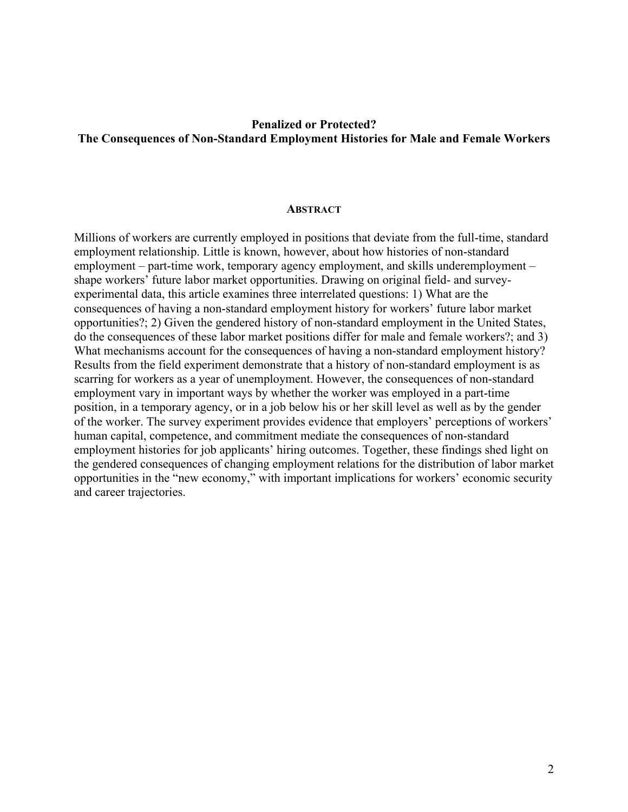## **Penalized or Protected? The Consequences of Non-Standard Employment Histories for Male and Female Workers**

## **ABSTRACT**

Millions of workers are currently employed in positions that deviate from the full-time, standard employment relationship. Little is known, however, about how histories of non-standard employment – part-time work, temporary agency employment, and skills underemployment – shape workers' future labor market opportunities. Drawing on original field- and surveyexperimental data, this article examines three interrelated questions: 1) What are the consequences of having a non-standard employment history for workers' future labor market opportunities?; 2) Given the gendered history of non-standard employment in the United States, do the consequences of these labor market positions differ for male and female workers?; and 3) What mechanisms account for the consequences of having a non-standard employment history? Results from the field experiment demonstrate that a history of non-standard employment is as scarring for workers as a year of unemployment. However, the consequences of non-standard employment vary in important ways by whether the worker was employed in a part-time position, in a temporary agency, or in a job below his or her skill level as well as by the gender of the worker. The survey experiment provides evidence that employers' perceptions of workers' human capital, competence, and commitment mediate the consequences of non-standard employment histories for job applicants' hiring outcomes. Together, these findings shed light on the gendered consequences of changing employment relations for the distribution of labor market opportunities in the "new economy," with important implications for workers' economic security and career trajectories.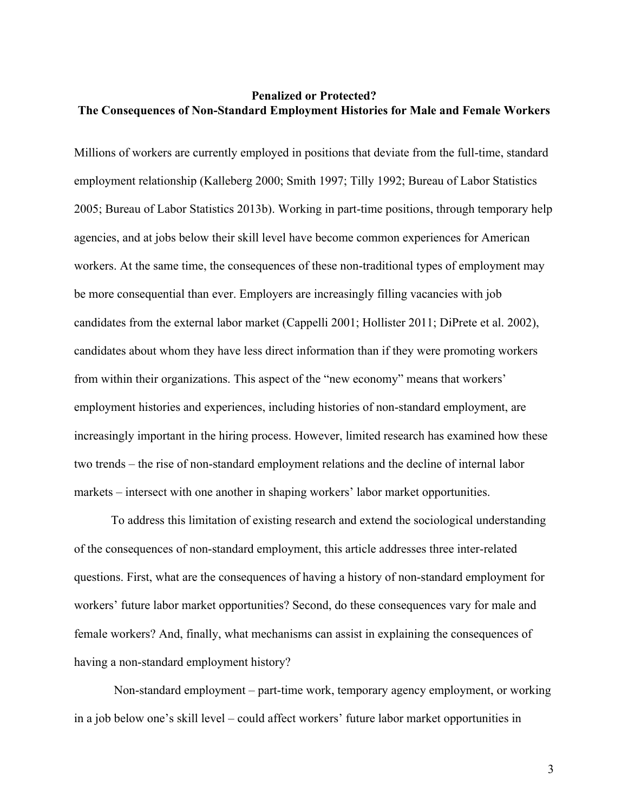## **Penalized or Protected? The Consequences of Non-Standard Employment Histories for Male and Female Workers**

Millions of workers are currently employed in positions that deviate from the full-time, standard employment relationship (Kalleberg 2000; Smith 1997; Tilly 1992; Bureau of Labor Statistics 2005; Bureau of Labor Statistics 2013b). Working in part-time positions, through temporary help agencies, and at jobs below their skill level have become common experiences for American workers. At the same time, the consequences of these non-traditional types of employment may be more consequential than ever. Employers are increasingly filling vacancies with job candidates from the external labor market (Cappelli 2001; Hollister 2011; DiPrete et al. 2002), candidates about whom they have less direct information than if they were promoting workers from within their organizations. This aspect of the "new economy" means that workers' employment histories and experiences, including histories of non-standard employment, are increasingly important in the hiring process. However, limited research has examined how these two trends – the rise of non-standard employment relations and the decline of internal labor markets – intersect with one another in shaping workers' labor market opportunities.

To address this limitation of existing research and extend the sociological understanding of the consequences of non-standard employment, this article addresses three inter-related questions. First, what are the consequences of having a history of non-standard employment for workers' future labor market opportunities? Second, do these consequences vary for male and female workers? And, finally, what mechanisms can assist in explaining the consequences of having a non-standard employment history?

Non-standard employment – part-time work, temporary agency employment, or working in a job below one's skill level – could affect workers' future labor market opportunities in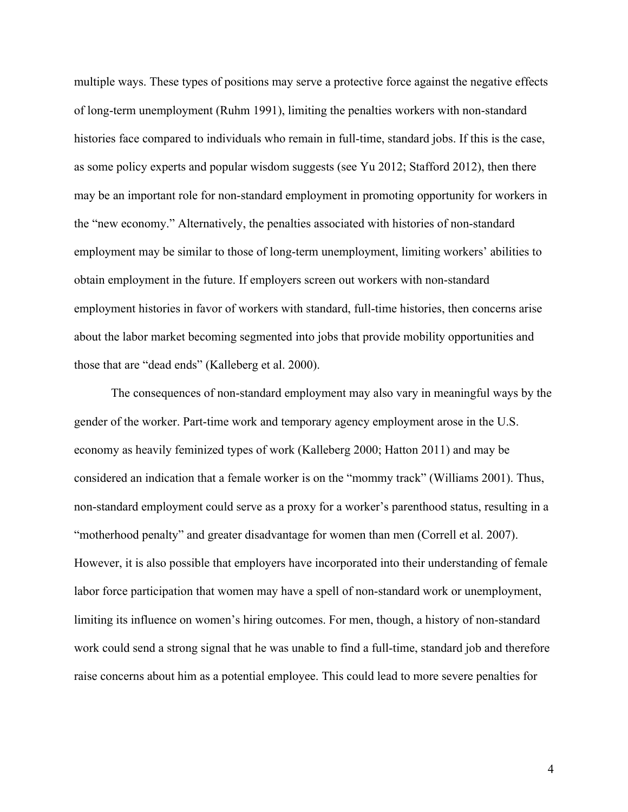multiple ways. These types of positions may serve a protective force against the negative effects of long-term unemployment (Ruhm 1991), limiting the penalties workers with non-standard histories face compared to individuals who remain in full-time, standard jobs. If this is the case, as some policy experts and popular wisdom suggests (see Yu 2012; Stafford 2012), then there may be an important role for non-standard employment in promoting opportunity for workers in the "new economy." Alternatively, the penalties associated with histories of non-standard employment may be similar to those of long-term unemployment, limiting workers' abilities to obtain employment in the future. If employers screen out workers with non-standard employment histories in favor of workers with standard, full-time histories, then concerns arise about the labor market becoming segmented into jobs that provide mobility opportunities and those that are "dead ends" (Kalleberg et al. 2000).

The consequences of non-standard employment may also vary in meaningful ways by the gender of the worker. Part-time work and temporary agency employment arose in the U.S. economy as heavily feminized types of work (Kalleberg 2000; Hatton 2011) and may be considered an indication that a female worker is on the "mommy track" (Williams 2001). Thus, non-standard employment could serve as a proxy for a worker's parenthood status, resulting in a "motherhood penalty" and greater disadvantage for women than men (Correll et al. 2007). However, it is also possible that employers have incorporated into their understanding of female labor force participation that women may have a spell of non-standard work or unemployment, limiting its influence on women's hiring outcomes. For men, though, a history of non-standard work could send a strong signal that he was unable to find a full-time, standard job and therefore raise concerns about him as a potential employee. This could lead to more severe penalties for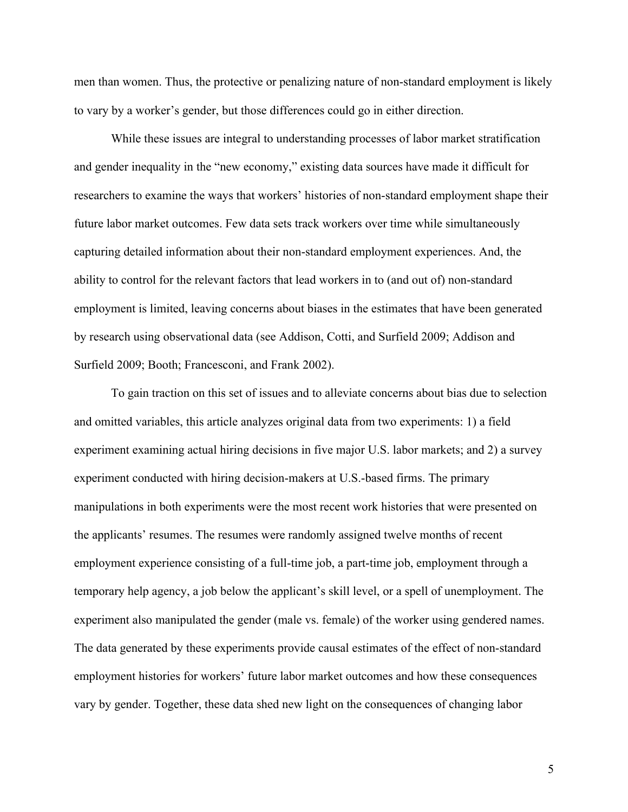men than women. Thus, the protective or penalizing nature of non-standard employment is likely to vary by a worker's gender, but those differences could go in either direction.

While these issues are integral to understanding processes of labor market stratification and gender inequality in the "new economy," existing data sources have made it difficult for researchers to examine the ways that workers' histories of non-standard employment shape their future labor market outcomes. Few data sets track workers over time while simultaneously capturing detailed information about their non-standard employment experiences. And, the ability to control for the relevant factors that lead workers in to (and out of) non-standard employment is limited, leaving concerns about biases in the estimates that have been generated by research using observational data (see Addison, Cotti, and Surfield 2009; Addison and Surfield 2009; Booth; Francesconi, and Frank 2002).

To gain traction on this set of issues and to alleviate concerns about bias due to selection and omitted variables, this article analyzes original data from two experiments: 1) a field experiment examining actual hiring decisions in five major U.S. labor markets; and 2) a survey experiment conducted with hiring decision-makers at U.S.-based firms. The primary manipulations in both experiments were the most recent work histories that were presented on the applicants' resumes. The resumes were randomly assigned twelve months of recent employment experience consisting of a full-time job, a part-time job, employment through a temporary help agency, a job below the applicant's skill level, or a spell of unemployment. The experiment also manipulated the gender (male vs. female) of the worker using gendered names. The data generated by these experiments provide causal estimates of the effect of non-standard employment histories for workers' future labor market outcomes and how these consequences vary by gender. Together, these data shed new light on the consequences of changing labor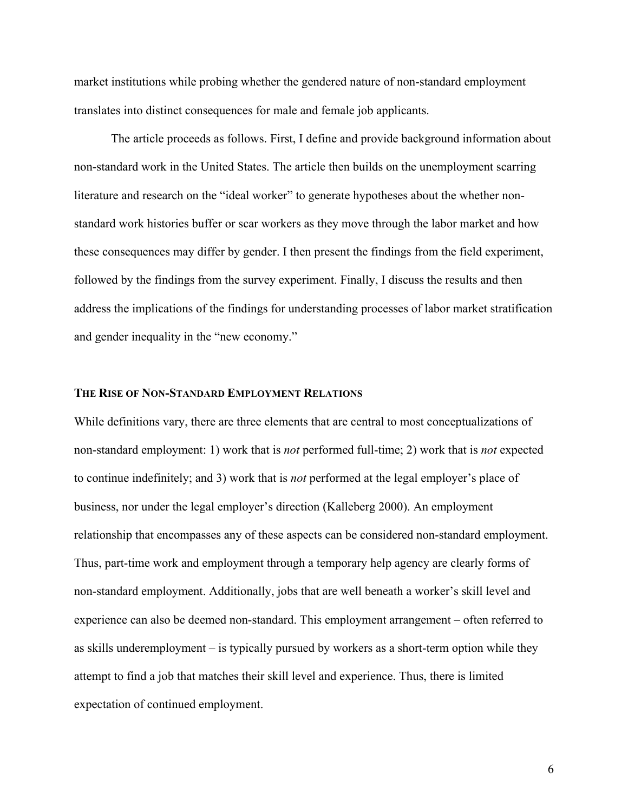market institutions while probing whether the gendered nature of non-standard employment translates into distinct consequences for male and female job applicants.

The article proceeds as follows. First, I define and provide background information about non-standard work in the United States. The article then builds on the unemployment scarring literature and research on the "ideal worker" to generate hypotheses about the whether nonstandard work histories buffer or scar workers as they move through the labor market and how these consequences may differ by gender. I then present the findings from the field experiment, followed by the findings from the survey experiment. Finally, I discuss the results and then address the implications of the findings for understanding processes of labor market stratification and gender inequality in the "new economy."

## **THE RISE OF NON-STANDARD EMPLOYMENT RELATIONS**

While definitions vary, there are three elements that are central to most conceptualizations of non-standard employment: 1) work that is *not* performed full-time; 2) work that is *not* expected to continue indefinitely; and 3) work that is *not* performed at the legal employer's place of business, nor under the legal employer's direction (Kalleberg 2000). An employment relationship that encompasses any of these aspects can be considered non-standard employment. Thus, part-time work and employment through a temporary help agency are clearly forms of non-standard employment. Additionally, jobs that are well beneath a worker's skill level and experience can also be deemed non-standard. This employment arrangement – often referred to as skills underemployment – is typically pursued by workers as a short-term option while they attempt to find a job that matches their skill level and experience. Thus, there is limited expectation of continued employment.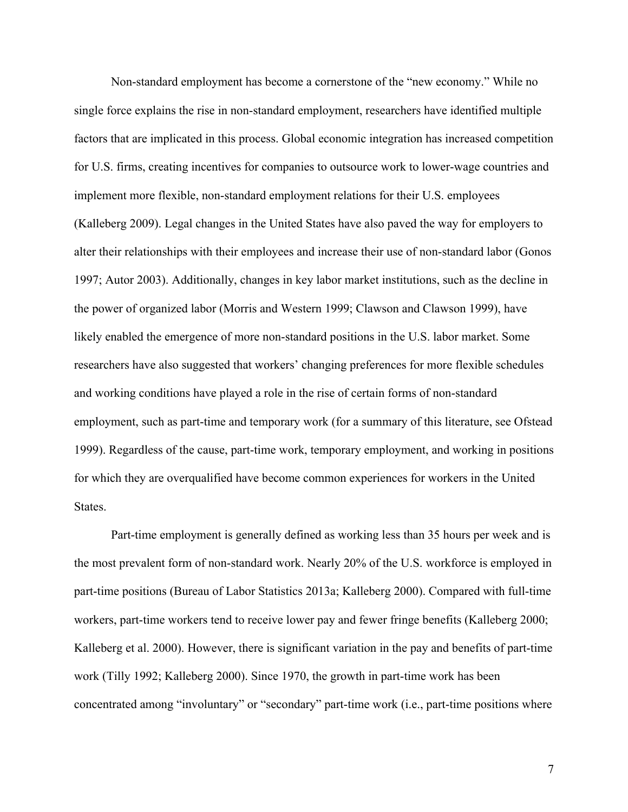Non-standard employment has become a cornerstone of the "new economy." While no single force explains the rise in non-standard employment, researchers have identified multiple factors that are implicated in this process. Global economic integration has increased competition for U.S. firms, creating incentives for companies to outsource work to lower-wage countries and implement more flexible, non-standard employment relations for their U.S. employees (Kalleberg 2009). Legal changes in the United States have also paved the way for employers to alter their relationships with their employees and increase their use of non-standard labor (Gonos 1997; Autor 2003). Additionally, changes in key labor market institutions, such as the decline in the power of organized labor (Morris and Western 1999; Clawson and Clawson 1999), have likely enabled the emergence of more non-standard positions in the U.S. labor market. Some researchers have also suggested that workers' changing preferences for more flexible schedules and working conditions have played a role in the rise of certain forms of non-standard employment, such as part-time and temporary work (for a summary of this literature, see Ofstead 1999). Regardless of the cause, part-time work, temporary employment, and working in positions for which they are overqualified have become common experiences for workers in the United States.

Part-time employment is generally defined as working less than 35 hours per week and is the most prevalent form of non-standard work. Nearly 20% of the U.S. workforce is employed in part-time positions (Bureau of Labor Statistics 2013a; Kalleberg 2000). Compared with full-time workers, part-time workers tend to receive lower pay and fewer fringe benefits (Kalleberg 2000; Kalleberg et al. 2000). However, there is significant variation in the pay and benefits of part-time work (Tilly 1992; Kalleberg 2000). Since 1970, the growth in part-time work has been concentrated among "involuntary" or "secondary" part-time work (i.e., part-time positions where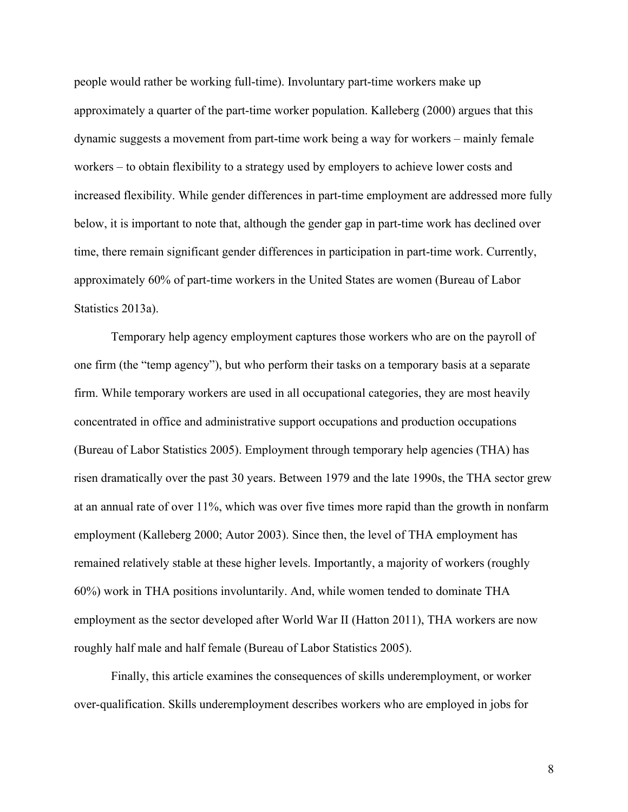people would rather be working full-time). Involuntary part-time workers make up approximately a quarter of the part-time worker population. Kalleberg (2000) argues that this dynamic suggests a movement from part-time work being a way for workers – mainly female workers – to obtain flexibility to a strategy used by employers to achieve lower costs and increased flexibility. While gender differences in part-time employment are addressed more fully below, it is important to note that, although the gender gap in part-time work has declined over time, there remain significant gender differences in participation in part-time work. Currently, approximately 60% of part-time workers in the United States are women (Bureau of Labor Statistics 2013a).

Temporary help agency employment captures those workers who are on the payroll of one firm (the "temp agency"), but who perform their tasks on a temporary basis at a separate firm. While temporary workers are used in all occupational categories, they are most heavily concentrated in office and administrative support occupations and production occupations (Bureau of Labor Statistics 2005). Employment through temporary help agencies (THA) has risen dramatically over the past 30 years. Between 1979 and the late 1990s, the THA sector grew at an annual rate of over 11%, which was over five times more rapid than the growth in nonfarm employment (Kalleberg 2000; Autor 2003). Since then, the level of THA employment has remained relatively stable at these higher levels. Importantly, a majority of workers (roughly 60%) work in THA positions involuntarily. And, while women tended to dominate THA employment as the sector developed after World War II (Hatton 2011), THA workers are now roughly half male and half female (Bureau of Labor Statistics 2005).

Finally, this article examines the consequences of skills underemployment, or worker over-qualification. Skills underemployment describes workers who are employed in jobs for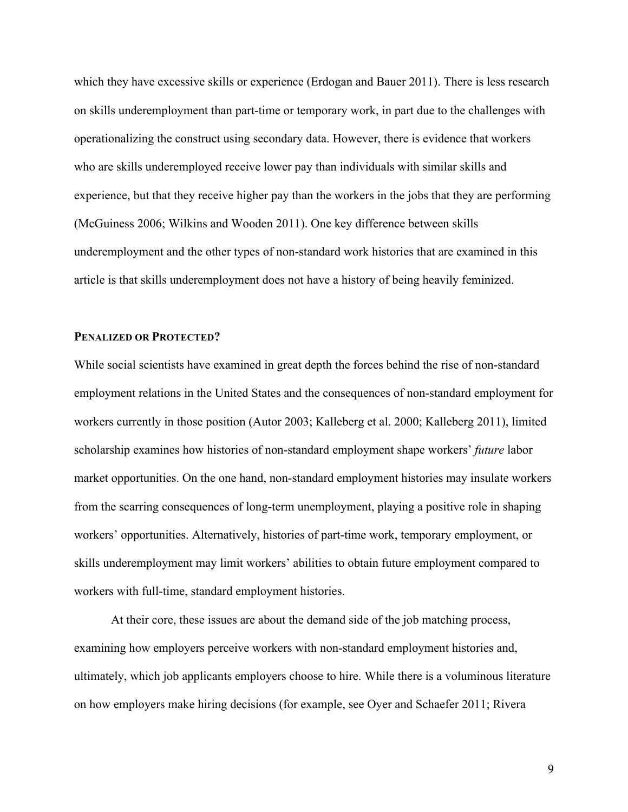which they have excessive skills or experience (Erdogan and Bauer 2011). There is less research on skills underemployment than part-time or temporary work, in part due to the challenges with operationalizing the construct using secondary data. However, there is evidence that workers who are skills underemployed receive lower pay than individuals with similar skills and experience, but that they receive higher pay than the workers in the jobs that they are performing (McGuiness 2006; Wilkins and Wooden 2011). One key difference between skills underemployment and the other types of non-standard work histories that are examined in this article is that skills underemployment does not have a history of being heavily feminized.

## **PENALIZED OR PROTECTED?**

While social scientists have examined in great depth the forces behind the rise of non-standard employment relations in the United States and the consequences of non-standard employment for workers currently in those position (Autor 2003; Kalleberg et al. 2000; Kalleberg 2011), limited scholarship examines how histories of non-standard employment shape workers' *future* labor market opportunities. On the one hand, non-standard employment histories may insulate workers from the scarring consequences of long-term unemployment, playing a positive role in shaping workers' opportunities. Alternatively, histories of part-time work, temporary employment, or skills underemployment may limit workers' abilities to obtain future employment compared to workers with full-time, standard employment histories.

At their core, these issues are about the demand side of the job matching process, examining how employers perceive workers with non-standard employment histories and, ultimately, which job applicants employers choose to hire. While there is a voluminous literature on how employers make hiring decisions (for example, see Oyer and Schaefer 2011; Rivera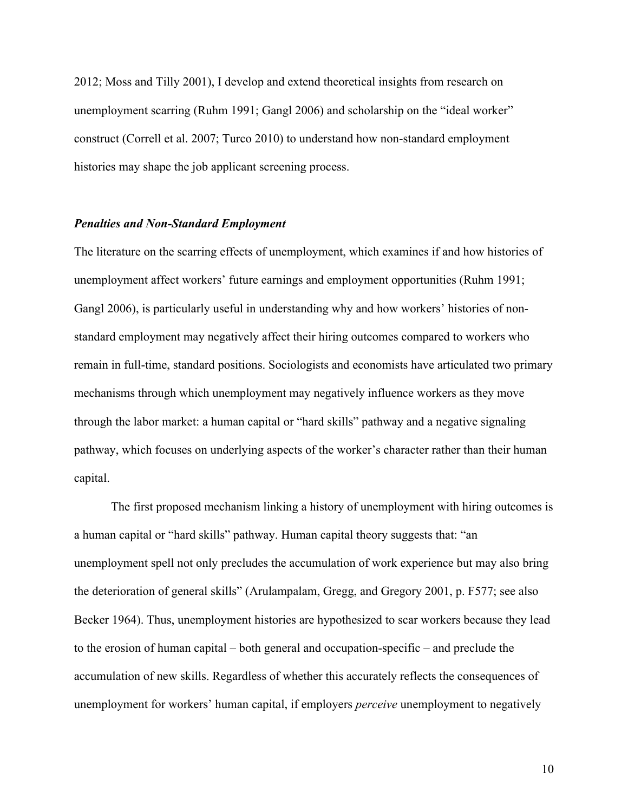2012; Moss and Tilly 2001), I develop and extend theoretical insights from research on unemployment scarring (Ruhm 1991; Gangl 2006) and scholarship on the "ideal worker" construct (Correll et al. 2007; Turco 2010) to understand how non-standard employment histories may shape the job applicant screening process.

## *Penalties and Non-Standard Employment*

The literature on the scarring effects of unemployment, which examines if and how histories of unemployment affect workers' future earnings and employment opportunities (Ruhm 1991; Gangl 2006), is particularly useful in understanding why and how workers' histories of nonstandard employment may negatively affect their hiring outcomes compared to workers who remain in full-time, standard positions. Sociologists and economists have articulated two primary mechanisms through which unemployment may negatively influence workers as they move through the labor market: a human capital or "hard skills" pathway and a negative signaling pathway, which focuses on underlying aspects of the worker's character rather than their human capital.

The first proposed mechanism linking a history of unemployment with hiring outcomes is a human capital or "hard skills" pathway. Human capital theory suggests that: "an unemployment spell not only precludes the accumulation of work experience but may also bring the deterioration of general skills" (Arulampalam, Gregg, and Gregory 2001, p. F577; see also Becker 1964). Thus, unemployment histories are hypothesized to scar workers because they lead to the erosion of human capital – both general and occupation-specific – and preclude the accumulation of new skills. Regardless of whether this accurately reflects the consequences of unemployment for workers' human capital, if employers *perceive* unemployment to negatively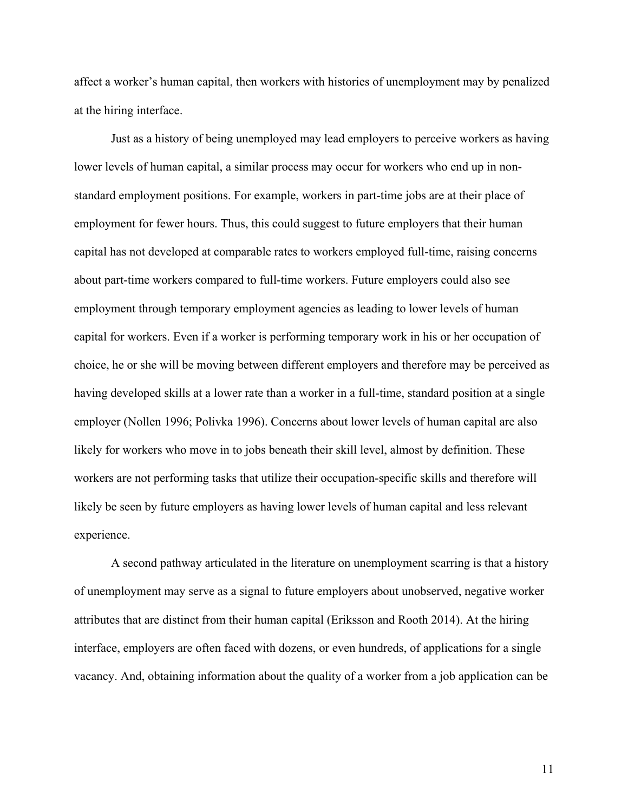affect a worker's human capital, then workers with histories of unemployment may by penalized at the hiring interface.

Just as a history of being unemployed may lead employers to perceive workers as having lower levels of human capital, a similar process may occur for workers who end up in nonstandard employment positions. For example, workers in part-time jobs are at their place of employment for fewer hours. Thus, this could suggest to future employers that their human capital has not developed at comparable rates to workers employed full-time, raising concerns about part-time workers compared to full-time workers. Future employers could also see employment through temporary employment agencies as leading to lower levels of human capital for workers. Even if a worker is performing temporary work in his or her occupation of choice, he or she will be moving between different employers and therefore may be perceived as having developed skills at a lower rate than a worker in a full-time, standard position at a single employer (Nollen 1996; Polivka 1996). Concerns about lower levels of human capital are also likely for workers who move in to jobs beneath their skill level, almost by definition. These workers are not performing tasks that utilize their occupation-specific skills and therefore will likely be seen by future employers as having lower levels of human capital and less relevant experience.

A second pathway articulated in the literature on unemployment scarring is that a history of unemployment may serve as a signal to future employers about unobserved, negative worker attributes that are distinct from their human capital (Eriksson and Rooth 2014). At the hiring interface, employers are often faced with dozens, or even hundreds, of applications for a single vacancy. And, obtaining information about the quality of a worker from a job application can be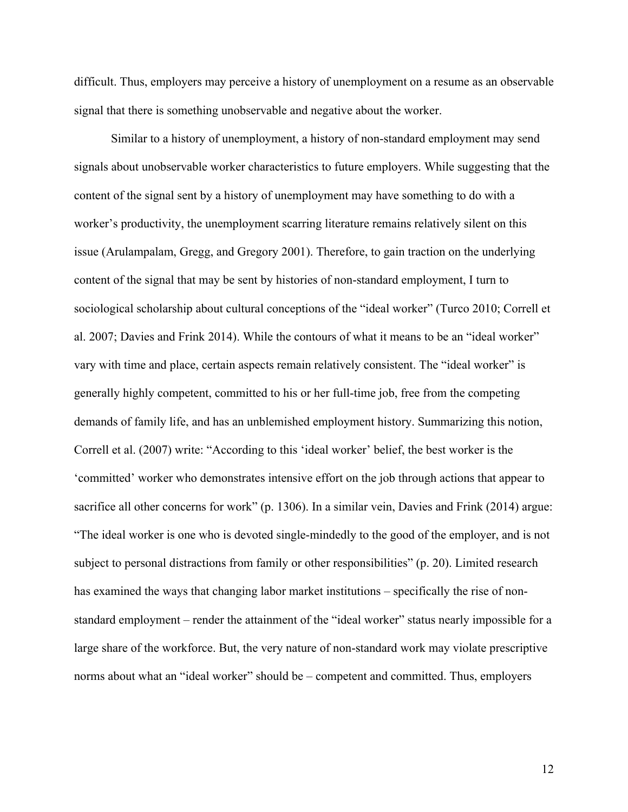difficult. Thus, employers may perceive a history of unemployment on a resume as an observable signal that there is something unobservable and negative about the worker.

Similar to a history of unemployment, a history of non-standard employment may send signals about unobservable worker characteristics to future employers. While suggesting that the content of the signal sent by a history of unemployment may have something to do with a worker's productivity, the unemployment scarring literature remains relatively silent on this issue (Arulampalam, Gregg, and Gregory 2001). Therefore, to gain traction on the underlying content of the signal that may be sent by histories of non-standard employment, I turn to sociological scholarship about cultural conceptions of the "ideal worker" (Turco 2010; Correll et al. 2007; Davies and Frink 2014). While the contours of what it means to be an "ideal worker" vary with time and place, certain aspects remain relatively consistent. The "ideal worker" is generally highly competent, committed to his or her full-time job, free from the competing demands of family life, and has an unblemished employment history. Summarizing this notion, Correll et al. (2007) write: "According to this 'ideal worker' belief, the best worker is the 'committed' worker who demonstrates intensive effort on the job through actions that appear to sacrifice all other concerns for work" (p. 1306). In a similar vein, Davies and Frink (2014) argue: "The ideal worker is one who is devoted single-mindedly to the good of the employer, and is not subject to personal distractions from family or other responsibilities" (p. 20). Limited research has examined the ways that changing labor market institutions – specifically the rise of nonstandard employment – render the attainment of the "ideal worker" status nearly impossible for a large share of the workforce. But, the very nature of non-standard work may violate prescriptive norms about what an "ideal worker" should be – competent and committed. Thus, employers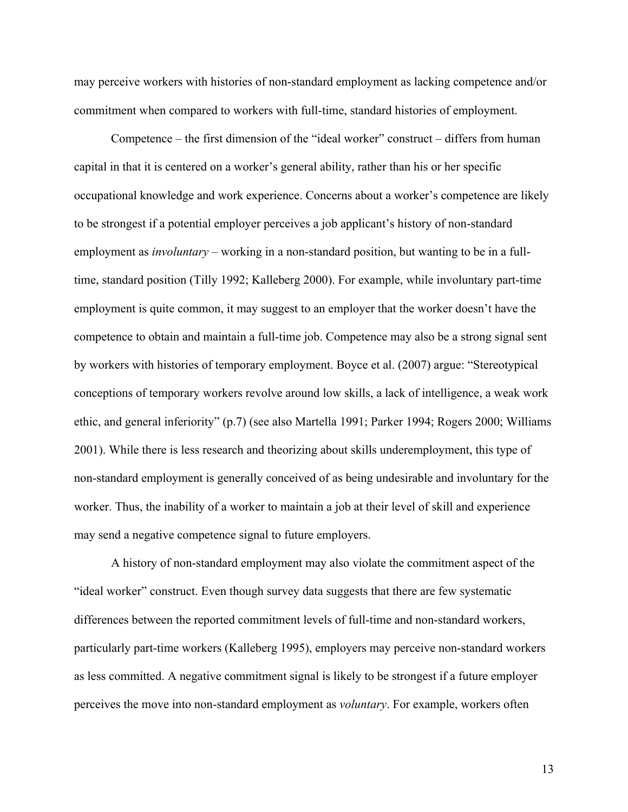may perceive workers with histories of non-standard employment as lacking competence and/or commitment when compared to workers with full-time, standard histories of employment.

Competence – the first dimension of the "ideal worker" construct – differs from human capital in that it is centered on a worker's general ability, rather than his or her specific occupational knowledge and work experience. Concerns about a worker's competence are likely to be strongest if a potential employer perceives a job applicant's history of non-standard employment as *involuntary* – working in a non-standard position, but wanting to be in a fulltime, standard position (Tilly 1992; Kalleberg 2000). For example, while involuntary part-time employment is quite common, it may suggest to an employer that the worker doesn't have the competence to obtain and maintain a full-time job. Competence may also be a strong signal sent by workers with histories of temporary employment. Boyce et al. (2007) argue: "Stereotypical conceptions of temporary workers revolve around low skills, a lack of intelligence, a weak work ethic, and general inferiority" (p.7) (see also Martella 1991; Parker 1994; Rogers 2000; Williams 2001). While there is less research and theorizing about skills underemployment, this type of non-standard employment is generally conceived of as being undesirable and involuntary for the worker. Thus, the inability of a worker to maintain a job at their level of skill and experience may send a negative competence signal to future employers.

A history of non-standard employment may also violate the commitment aspect of the "ideal worker" construct. Even though survey data suggests that there are few systematic differences between the reported commitment levels of full-time and non-standard workers, particularly part-time workers (Kalleberg 1995), employers may perceive non-standard workers as less committed. A negative commitment signal is likely to be strongest if a future employer perceives the move into non-standard employment as *voluntary*. For example, workers often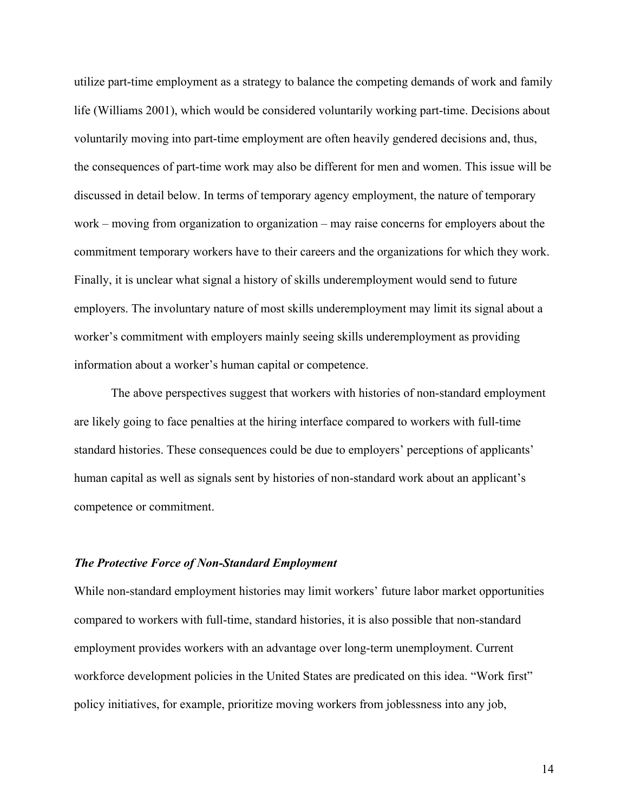utilize part-time employment as a strategy to balance the competing demands of work and family life (Williams 2001), which would be considered voluntarily working part-time. Decisions about voluntarily moving into part-time employment are often heavily gendered decisions and, thus, the consequences of part-time work may also be different for men and women. This issue will be discussed in detail below. In terms of temporary agency employment, the nature of temporary work – moving from organization to organization – may raise concerns for employers about the commitment temporary workers have to their careers and the organizations for which they work. Finally, it is unclear what signal a history of skills underemployment would send to future employers. The involuntary nature of most skills underemployment may limit its signal about a worker's commitment with employers mainly seeing skills underemployment as providing information about a worker's human capital or competence.

The above perspectives suggest that workers with histories of non-standard employment are likely going to face penalties at the hiring interface compared to workers with full-time standard histories. These consequences could be due to employers' perceptions of applicants' human capital as well as signals sent by histories of non-standard work about an applicant's competence or commitment.

## *The Protective Force of Non-Standard Employment*

While non-standard employment histories may limit workers' future labor market opportunities compared to workers with full-time, standard histories, it is also possible that non-standard employment provides workers with an advantage over long-term unemployment. Current workforce development policies in the United States are predicated on this idea. "Work first" policy initiatives, for example, prioritize moving workers from joblessness into any job,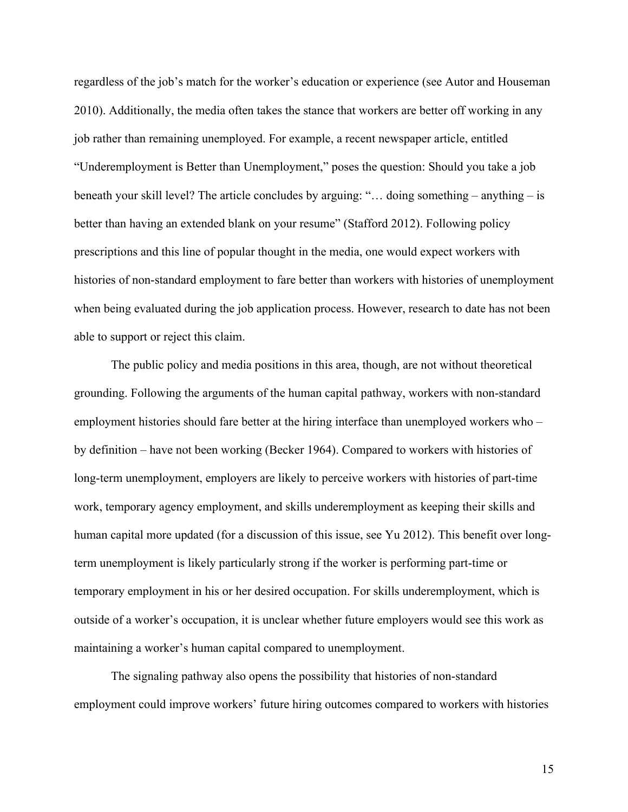regardless of the job's match for the worker's education or experience (see Autor and Houseman 2010). Additionally, the media often takes the stance that workers are better off working in any job rather than remaining unemployed. For example, a recent newspaper article, entitled "Underemployment is Better than Unemployment," poses the question: Should you take a job beneath your skill level? The article concludes by arguing: "… doing something – anything – is better than having an extended blank on your resume" (Stafford 2012). Following policy prescriptions and this line of popular thought in the media, one would expect workers with histories of non-standard employment to fare better than workers with histories of unemployment when being evaluated during the job application process. However, research to date has not been able to support or reject this claim.

The public policy and media positions in this area, though, are not without theoretical grounding. Following the arguments of the human capital pathway, workers with non-standard employment histories should fare better at the hiring interface than unemployed workers who – by definition – have not been working (Becker 1964). Compared to workers with histories of long-term unemployment, employers are likely to perceive workers with histories of part-time work, temporary agency employment, and skills underemployment as keeping their skills and human capital more updated (for a discussion of this issue, see Yu 2012). This benefit over longterm unemployment is likely particularly strong if the worker is performing part-time or temporary employment in his or her desired occupation. For skills underemployment, which is outside of a worker's occupation, it is unclear whether future employers would see this work as maintaining a worker's human capital compared to unemployment.

The signaling pathway also opens the possibility that histories of non-standard employment could improve workers' future hiring outcomes compared to workers with histories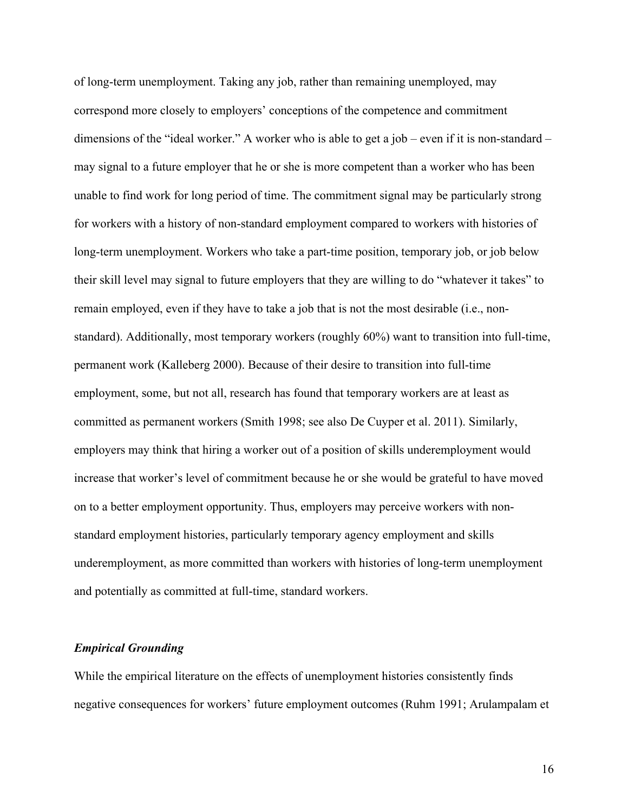of long-term unemployment. Taking any job, rather than remaining unemployed, may correspond more closely to employers' conceptions of the competence and commitment dimensions of the "ideal worker." A worker who is able to get a job – even if it is non-standard – may signal to a future employer that he or she is more competent than a worker who has been unable to find work for long period of time. The commitment signal may be particularly strong for workers with a history of non-standard employment compared to workers with histories of long-term unemployment. Workers who take a part-time position, temporary job, or job below their skill level may signal to future employers that they are willing to do "whatever it takes" to remain employed, even if they have to take a job that is not the most desirable (i.e., nonstandard). Additionally, most temporary workers (roughly 60%) want to transition into full-time, permanent work (Kalleberg 2000). Because of their desire to transition into full-time employment, some, but not all, research has found that temporary workers are at least as committed as permanent workers (Smith 1998; see also De Cuyper et al. 2011). Similarly, employers may think that hiring a worker out of a position of skills underemployment would increase that worker's level of commitment because he or she would be grateful to have moved on to a better employment opportunity. Thus, employers may perceive workers with nonstandard employment histories, particularly temporary agency employment and skills underemployment, as more committed than workers with histories of long-term unemployment and potentially as committed at full-time, standard workers.

## *Empirical Grounding*

While the empirical literature on the effects of unemployment histories consistently finds negative consequences for workers' future employment outcomes (Ruhm 1991; Arulampalam et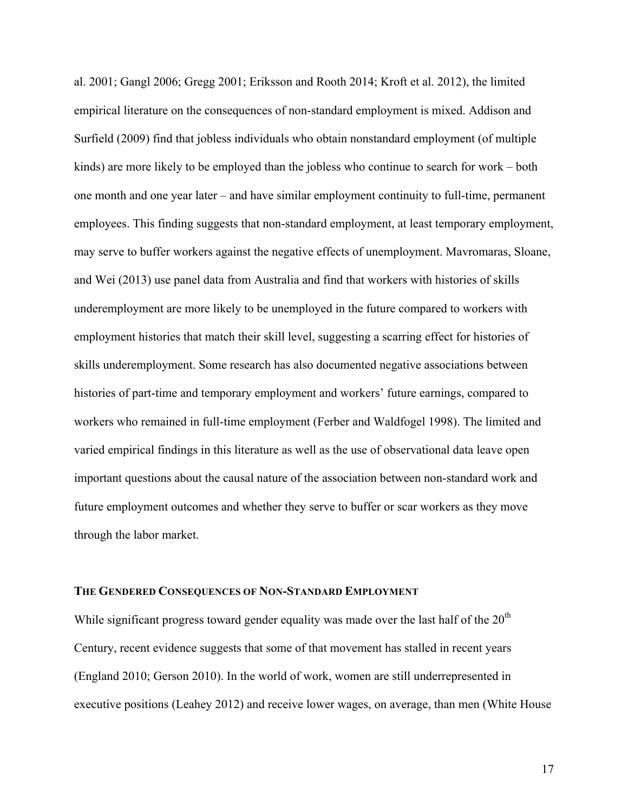al. 2001; Gangl 2006; Gregg 2001; Eriksson and Rooth 2014; Kroft et al. 2012), the limited empirical literature on the consequences of non-standard employment is mixed. Addison and Surfield (2009) find that jobless individuals who obtain nonstandard employment (of multiple kinds) are more likely to be employed than the jobless who continue to search for work – both one month and one year later – and have similar employment continuity to full-time, permanent employees. This finding suggests that non-standard employment, at least temporary employment, may serve to buffer workers against the negative effects of unemployment. Mavromaras, Sloane, and Wei (2013) use panel data from Australia and find that workers with histories of skills underemployment are more likely to be unemployed in the future compared to workers with employment histories that match their skill level, suggesting a scarring effect for histories of skills underemployment. Some research has also documented negative associations between histories of part-time and temporary employment and workers' future earnings, compared to workers who remained in full-time employment (Ferber and Waldfogel 1998). The limited and varied empirical findings in this literature as well as the use of observational data leave open important questions about the causal nature of the association between non-standard work and future employment outcomes and whether they serve to buffer or scar workers as they move through the labor market.

## **THE GENDERED CONSEQUENCES OF NON-STANDARD EMPLOYMENT**

While significant progress toward gender equality was made over the last half of the  $20<sup>th</sup>$ Century, recent evidence suggests that some of that movement has stalled in recent years (England 2010; Gerson 2010). In the world of work, women are still underrepresented in executive positions (Leahey 2012) and receive lower wages, on average, than men (White House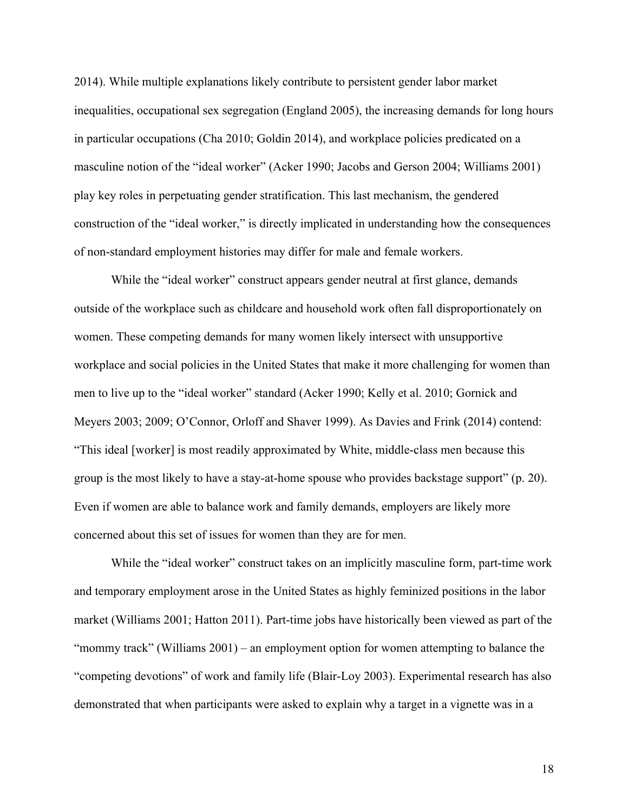2014). While multiple explanations likely contribute to persistent gender labor market inequalities, occupational sex segregation (England 2005), the increasing demands for long hours in particular occupations (Cha 2010; Goldin 2014), and workplace policies predicated on a masculine notion of the "ideal worker" (Acker 1990; Jacobs and Gerson 2004; Williams 2001) play key roles in perpetuating gender stratification. This last mechanism, the gendered construction of the "ideal worker," is directly implicated in understanding how the consequences of non-standard employment histories may differ for male and female workers.

While the "ideal worker" construct appears gender neutral at first glance, demands outside of the workplace such as childcare and household work often fall disproportionately on women. These competing demands for many women likely intersect with unsupportive workplace and social policies in the United States that make it more challenging for women than men to live up to the "ideal worker" standard (Acker 1990; Kelly et al. 2010; Gornick and Meyers 2003; 2009; O'Connor, Orloff and Shaver 1999). As Davies and Frink (2014) contend: "This ideal [worker] is most readily approximated by White, middle-class men because this group is the most likely to have a stay-at-home spouse who provides backstage support" (p. 20). Even if women are able to balance work and family demands, employers are likely more concerned about this set of issues for women than they are for men.

While the "ideal worker" construct takes on an implicitly masculine form, part-time work and temporary employment arose in the United States as highly feminized positions in the labor market (Williams 2001; Hatton 2011). Part-time jobs have historically been viewed as part of the "mommy track" (Williams 2001) – an employment option for women attempting to balance the "competing devotions" of work and family life (Blair-Loy 2003). Experimental research has also demonstrated that when participants were asked to explain why a target in a vignette was in a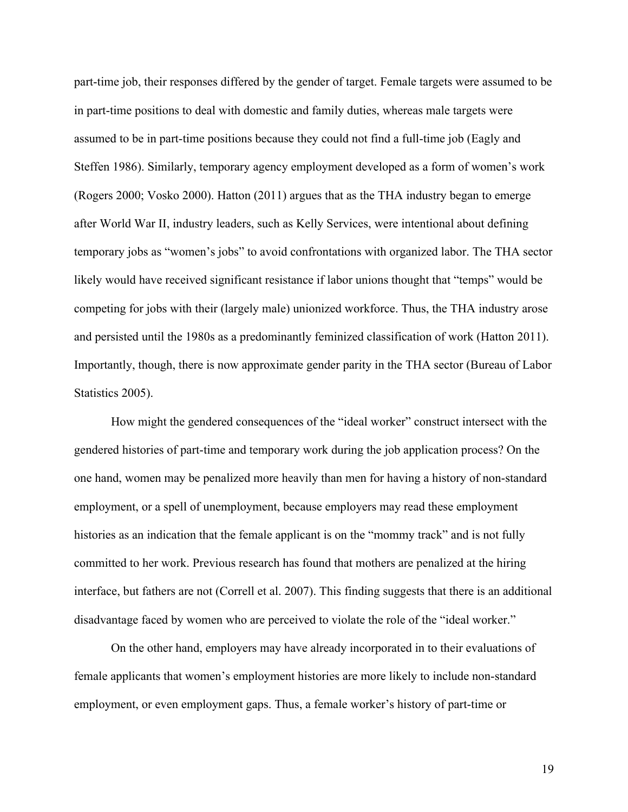part-time job, their responses differed by the gender of target. Female targets were assumed to be in part-time positions to deal with domestic and family duties, whereas male targets were assumed to be in part-time positions because they could not find a full-time job (Eagly and Steffen 1986). Similarly, temporary agency employment developed as a form of women's work (Rogers 2000; Vosko 2000). Hatton (2011) argues that as the THA industry began to emerge after World War II, industry leaders, such as Kelly Services, were intentional about defining temporary jobs as "women's jobs" to avoid confrontations with organized labor. The THA sector likely would have received significant resistance if labor unions thought that "temps" would be competing for jobs with their (largely male) unionized workforce. Thus, the THA industry arose and persisted until the 1980s as a predominantly feminized classification of work (Hatton 2011). Importantly, though, there is now approximate gender parity in the THA sector (Bureau of Labor Statistics 2005).

How might the gendered consequences of the "ideal worker" construct intersect with the gendered histories of part-time and temporary work during the job application process? On the one hand, women may be penalized more heavily than men for having a history of non-standard employment, or a spell of unemployment, because employers may read these employment histories as an indication that the female applicant is on the "mommy track" and is not fully committed to her work. Previous research has found that mothers are penalized at the hiring interface, but fathers are not (Correll et al. 2007). This finding suggests that there is an additional disadvantage faced by women who are perceived to violate the role of the "ideal worker."

On the other hand, employers may have already incorporated in to their evaluations of female applicants that women's employment histories are more likely to include non-standard employment, or even employment gaps. Thus, a female worker's history of part-time or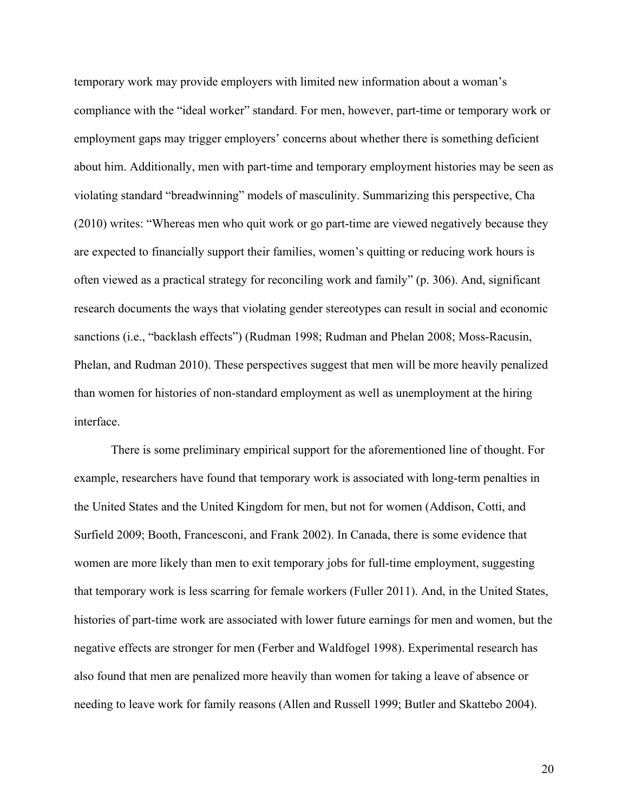temporary work may provide employers with limited new information about a woman's compliance with the "ideal worker" standard. For men, however, part-time or temporary work or employment gaps may trigger employers' concerns about whether there is something deficient about him. Additionally, men with part-time and temporary employment histories may be seen as violating standard "breadwinning" models of masculinity. Summarizing this perspective, Cha (2010) writes: "Whereas men who quit work or go part-time are viewed negatively because they are expected to financially support their families, women's quitting or reducing work hours is often viewed as a practical strategy for reconciling work and family" (p. 306). And, significant research documents the ways that violating gender stereotypes can result in social and economic sanctions (i.e., "backlash effects") (Rudman 1998; Rudman and Phelan 2008; Moss-Racusin, Phelan, and Rudman 2010). These perspectives suggest that men will be more heavily penalized than women for histories of non-standard employment as well as unemployment at the hiring interface.

There is some preliminary empirical support for the aforementioned line of thought. For example, researchers have found that temporary work is associated with long-term penalties in the United States and the United Kingdom for men, but not for women (Addison, Cotti, and Surfield 2009; Booth, Francesconi, and Frank 2002). In Canada, there is some evidence that women are more likely than men to exit temporary jobs for full-time employment, suggesting that temporary work is less scarring for female workers (Fuller 2011). And, in the United States, histories of part-time work are associated with lower future earnings for men and women, but the negative effects are stronger for men (Ferber and Waldfogel 1998). Experimental research has also found that men are penalized more heavily than women for taking a leave of absence or needing to leave work for family reasons (Allen and Russell 1999; Butler and Skattebo 2004).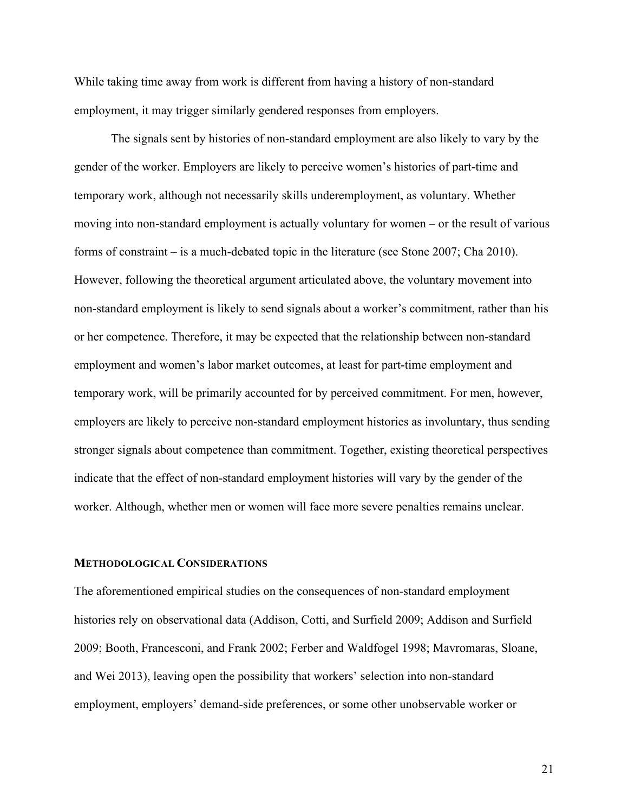While taking time away from work is different from having a history of non-standard employment, it may trigger similarly gendered responses from employers.

The signals sent by histories of non-standard employment are also likely to vary by the gender of the worker. Employers are likely to perceive women's histories of part-time and temporary work, although not necessarily skills underemployment, as voluntary. Whether moving into non-standard employment is actually voluntary for women – or the result of various forms of constraint – is a much-debated topic in the literature (see Stone 2007; Cha 2010). However, following the theoretical argument articulated above, the voluntary movement into non-standard employment is likely to send signals about a worker's commitment, rather than his or her competence. Therefore, it may be expected that the relationship between non-standard employment and women's labor market outcomes, at least for part-time employment and temporary work, will be primarily accounted for by perceived commitment. For men, however, employers are likely to perceive non-standard employment histories as involuntary, thus sending stronger signals about competence than commitment. Together, existing theoretical perspectives indicate that the effect of non-standard employment histories will vary by the gender of the worker. Although, whether men or women will face more severe penalties remains unclear.

## **METHODOLOGICAL CONSIDERATIONS**

The aforementioned empirical studies on the consequences of non-standard employment histories rely on observational data (Addison, Cotti, and Surfield 2009; Addison and Surfield 2009; Booth, Francesconi, and Frank 2002; Ferber and Waldfogel 1998; Mavromaras, Sloane, and Wei 2013), leaving open the possibility that workers' selection into non-standard employment, employers' demand-side preferences, or some other unobservable worker or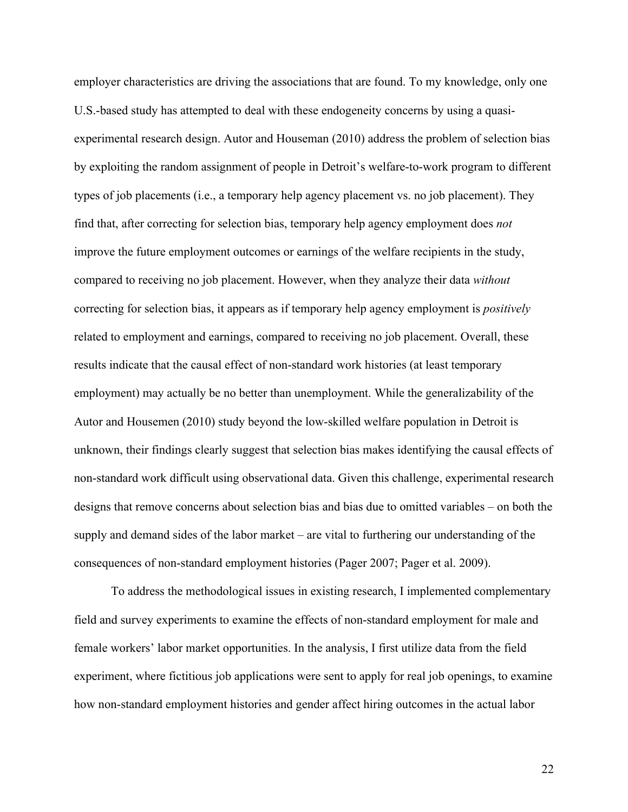employer characteristics are driving the associations that are found. To my knowledge, only one U.S.-based study has attempted to deal with these endogeneity concerns by using a quasiexperimental research design. Autor and Houseman (2010) address the problem of selection bias by exploiting the random assignment of people in Detroit's welfare-to-work program to different types of job placements (i.e., a temporary help agency placement vs. no job placement). They find that, after correcting for selection bias, temporary help agency employment does *not* improve the future employment outcomes or earnings of the welfare recipients in the study, compared to receiving no job placement. However, when they analyze their data *without* correcting for selection bias, it appears as if temporary help agency employment is *positively* related to employment and earnings, compared to receiving no job placement. Overall, these results indicate that the causal effect of non-standard work histories (at least temporary employment) may actually be no better than unemployment. While the generalizability of the Autor and Housemen (2010) study beyond the low-skilled welfare population in Detroit is unknown, their findings clearly suggest that selection bias makes identifying the causal effects of non-standard work difficult using observational data. Given this challenge, experimental research designs that remove concerns about selection bias and bias due to omitted variables – on both the supply and demand sides of the labor market – are vital to furthering our understanding of the consequences of non-standard employment histories (Pager 2007; Pager et al. 2009).

To address the methodological issues in existing research, I implemented complementary field and survey experiments to examine the effects of non-standard employment for male and female workers' labor market opportunities. In the analysis, I first utilize data from the field experiment, where fictitious job applications were sent to apply for real job openings, to examine how non-standard employment histories and gender affect hiring outcomes in the actual labor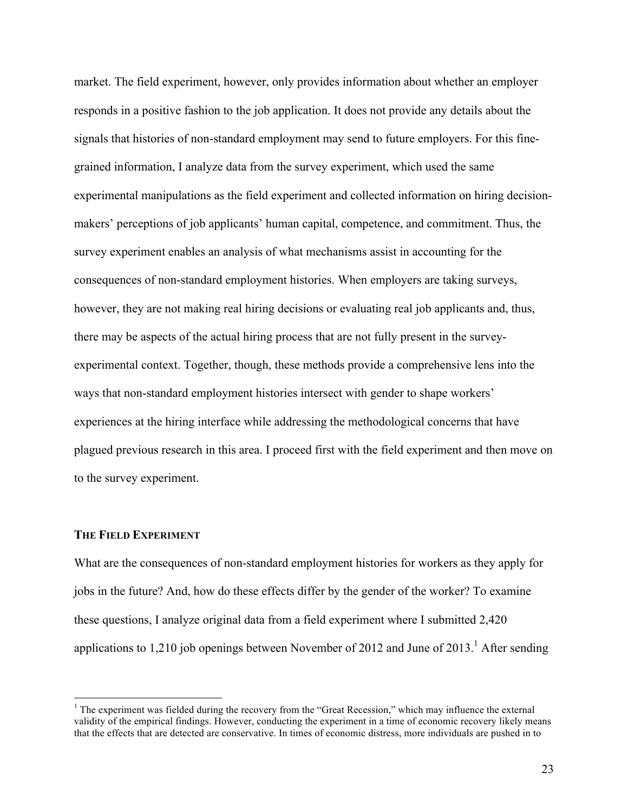market. The field experiment, however, only provides information about whether an employer responds in a positive fashion to the job application. It does not provide any details about the signals that histories of non-standard employment may send to future employers. For this finegrained information, I analyze data from the survey experiment, which used the same experimental manipulations as the field experiment and collected information on hiring decisionmakers' perceptions of job applicants' human capital, competence, and commitment. Thus, the survey experiment enables an analysis of what mechanisms assist in accounting for the consequences of non-standard employment histories. When employers are taking surveys, however, they are not making real hiring decisions or evaluating real job applicants and, thus, there may be aspects of the actual hiring process that are not fully present in the surveyexperimental context. Together, though, these methods provide a comprehensive lens into the ways that non-standard employment histories intersect with gender to shape workers' experiences at the hiring interface while addressing the methodological concerns that have plagued previous research in this area. I proceed first with the field experiment and then move on to the survey experiment.

## **THE FIELD EXPERIMENT**

What are the consequences of non-standard employment histories for workers as they apply for jobs in the future? And, how do these effects differ by the gender of the worker? To examine these questions, I analyze original data from a field experiment where I submitted 2,420 applications to 1,210 job openings between November of 2012 and June of 2013.<sup>1</sup> After sending

<sup>&</sup>lt;sup>1</sup> The experiment was fielded during the recovery from the "Great Recession," which may influence the external validity of the empirical findings. However, conducting the experiment in a time of economic recovery likely means that the effects that are detected are conservative. In times of economic distress, more individuals are pushed in to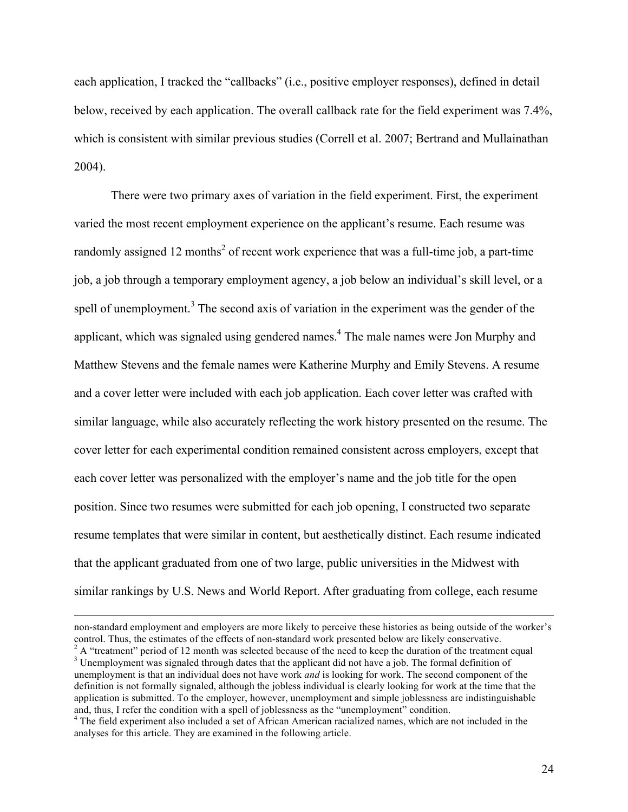each application, I tracked the "callbacks" (i.e., positive employer responses), defined in detail below, received by each application. The overall callback rate for the field experiment was 7.4%, which is consistent with similar previous studies (Correll et al. 2007; Bertrand and Mullainathan 2004).

There were two primary axes of variation in the field experiment. First, the experiment varied the most recent employment experience on the applicant's resume. Each resume was randomly assigned 12 months<sup>2</sup> of recent work experience that was a full-time job, a part-time job, a job through a temporary employment agency, a job below an individual's skill level, or a spell of unemployment.<sup>3</sup> The second axis of variation in the experiment was the gender of the applicant, which was signaled using gendered names.<sup>4</sup> The male names were Jon Murphy and Matthew Stevens and the female names were Katherine Murphy and Emily Stevens. A resume and a cover letter were included with each job application. Each cover letter was crafted with similar language, while also accurately reflecting the work history presented on the resume. The cover letter for each experimental condition remained consistent across employers, except that each cover letter was personalized with the employer's name and the job title for the open position. Since two resumes were submitted for each job opening, I constructed two separate resume templates that were similar in content, but aesthetically distinct. Each resume indicated that the applicant graduated from one of two large, public universities in the Midwest with similar rankings by U.S. News and World Report. After graduating from college, each resume

<u>.</u>

non-standard employment and employers are more likely to perceive these histories as being outside of the worker's control. Thus, the estimates of the effects of non-standard work presented below are likely conservative.<br>
<sup>2</sup> A "treatment" period of 12 month was selected because of the need to keep the duration of the treatment equal

unemployment is that an individual does not have work *and* is looking for work. The second component of the definition is not formally signaled, although the jobless individual is clearly looking for work at the time that the application is submitted. To the employer, however, unemployment and simple joblessness are indistinguishable and, thus, I refer the condition with a spell of joblessness as the "unemployment" condition.

<sup>4</sup> The field experiment also included a set of African American racialized names, which are not included in the analyses for this article. They are examined in the following article.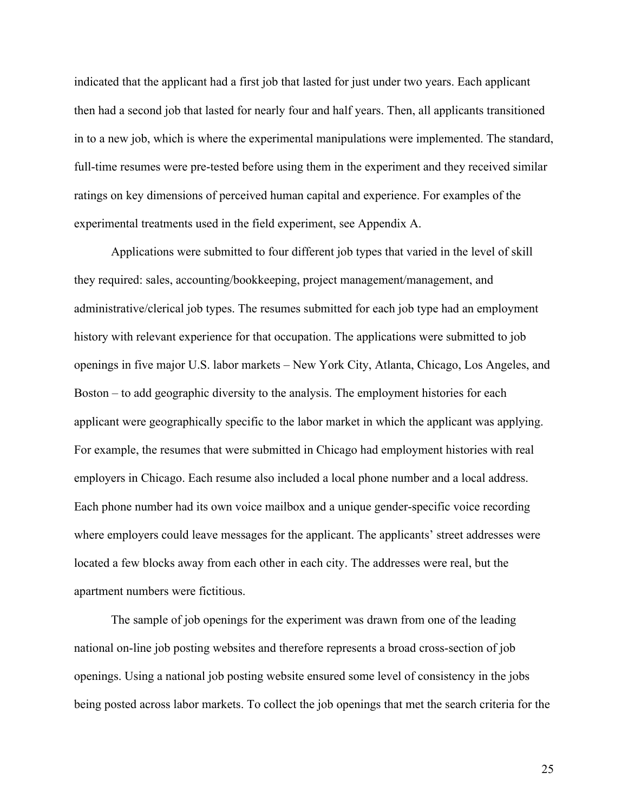indicated that the applicant had a first job that lasted for just under two years. Each applicant then had a second job that lasted for nearly four and half years. Then, all applicants transitioned in to a new job, which is where the experimental manipulations were implemented. The standard, full-time resumes were pre-tested before using them in the experiment and they received similar ratings on key dimensions of perceived human capital and experience. For examples of the experimental treatments used in the field experiment, see Appendix A.

Applications were submitted to four different job types that varied in the level of skill they required: sales, accounting/bookkeeping, project management/management, and administrative/clerical job types. The resumes submitted for each job type had an employment history with relevant experience for that occupation. The applications were submitted to job openings in five major U.S. labor markets – New York City, Atlanta, Chicago, Los Angeles, and Boston – to add geographic diversity to the analysis. The employment histories for each applicant were geographically specific to the labor market in which the applicant was applying. For example, the resumes that were submitted in Chicago had employment histories with real employers in Chicago. Each resume also included a local phone number and a local address. Each phone number had its own voice mailbox and a unique gender-specific voice recording where employers could leave messages for the applicant. The applicants' street addresses were located a few blocks away from each other in each city. The addresses were real, but the apartment numbers were fictitious.

The sample of job openings for the experiment was drawn from one of the leading national on-line job posting websites and therefore represents a broad cross-section of job openings. Using a national job posting website ensured some level of consistency in the jobs being posted across labor markets. To collect the job openings that met the search criteria for the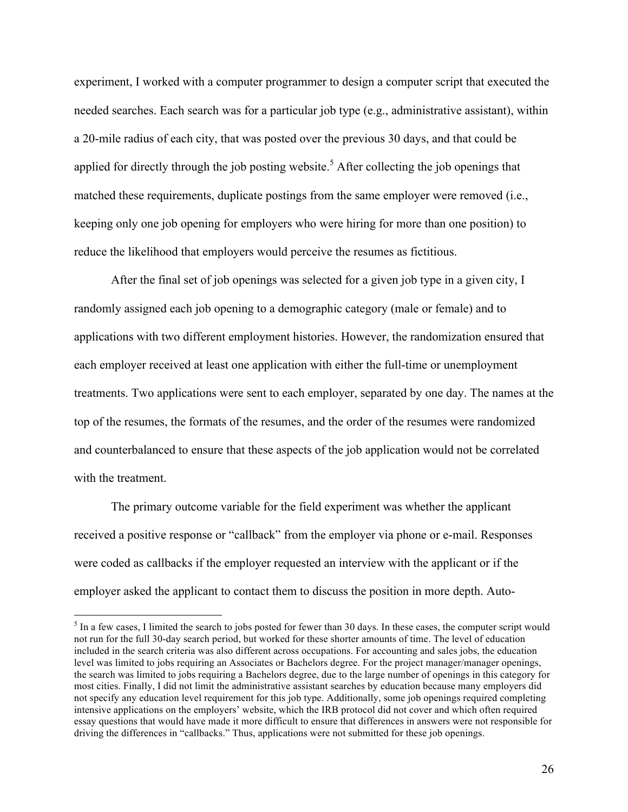experiment, I worked with a computer programmer to design a computer script that executed the needed searches. Each search was for a particular job type (e.g., administrative assistant), within a 20-mile radius of each city, that was posted over the previous 30 days, and that could be applied for directly through the job posting website.<sup>5</sup> After collecting the job openings that matched these requirements, duplicate postings from the same employer were removed (i.e., keeping only one job opening for employers who were hiring for more than one position) to reduce the likelihood that employers would perceive the resumes as fictitious.

After the final set of job openings was selected for a given job type in a given city, I randomly assigned each job opening to a demographic category (male or female) and to applications with two different employment histories. However, the randomization ensured that each employer received at least one application with either the full-time or unemployment treatments. Two applications were sent to each employer, separated by one day. The names at the top of the resumes, the formats of the resumes, and the order of the resumes were randomized and counterbalanced to ensure that these aspects of the job application would not be correlated with the treatment.

The primary outcome variable for the field experiment was whether the applicant received a positive response or "callback" from the employer via phone or e-mail. Responses were coded as callbacks if the employer requested an interview with the applicant or if the employer asked the applicant to contact them to discuss the position in more depth. Auto-

 $<sup>5</sup>$  In a few cases, I limited the search to jobs posted for fewer than 30 days. In these cases, the computer script would</sup> not run for the full 30-day search period, but worked for these shorter amounts of time. The level of education included in the search criteria was also different across occupations. For accounting and sales jobs, the education level was limited to jobs requiring an Associates or Bachelors degree. For the project manager/manager openings, the search was limited to jobs requiring a Bachelors degree, due to the large number of openings in this category for most cities. Finally, I did not limit the administrative assistant searches by education because many employers did not specify any education level requirement for this job type. Additionally, some job openings required completing intensive applications on the employers' website, which the IRB protocol did not cover and which often required essay questions that would have made it more difficult to ensure that differences in answers were not responsible for driving the differences in "callbacks." Thus, applications were not submitted for these job openings.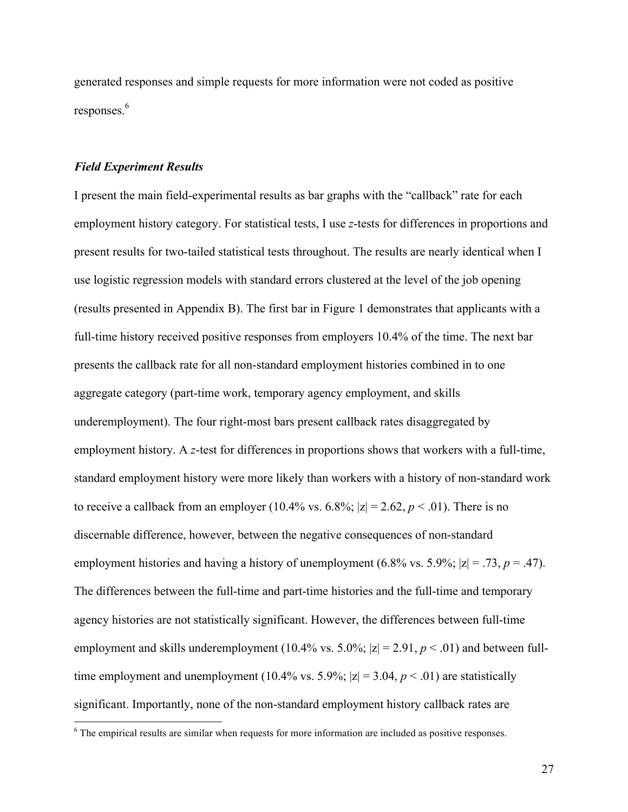generated responses and simple requests for more information were not coded as positive responses.<sup>6</sup>

## *Field Experiment Results*

I present the main field-experimental results as bar graphs with the "callback" rate for each employment history category. For statistical tests, I use *z*-tests for differences in proportions and present results for two-tailed statistical tests throughout. The results are nearly identical when I use logistic regression models with standard errors clustered at the level of the job opening (results presented in Appendix B). The first bar in Figure 1 demonstrates that applicants with a full-time history received positive responses from employers 10.4% of the time. The next bar presents the callback rate for all non-standard employment histories combined in to one aggregate category (part-time work, temporary agency employment, and skills underemployment). The four right-most bars present callback rates disaggregated by employment history. A *z*-test for differences in proportions shows that workers with a full-time, standard employment history were more likely than workers with a history of non-standard work to receive a callback from an employer (10.4% vs. 6.8%;  $|z| = 2.62$ ,  $p < .01$ ). There is no discernable difference, however, between the negative consequences of non-standard employment histories and having a history of unemployment (6.8% vs. 5.9%;  $|z| = .73$ ,  $p = .47$ ). The differences between the full-time and part-time histories and the full-time and temporary agency histories are not statistically significant. However, the differences between full-time employment and skills underemployment (10.4% vs. 5.0%;  $|z| = 2.91$ ,  $p < .01$ ) and between fulltime employment and unemployment (10.4% vs. 5.9%;  $|z| = 3.04$ ,  $p < .01$ ) are statistically significant. Importantly, none of the non-standard employment history callback rates are

<sup>&</sup>lt;sup>6</sup> The empirical results are similar when requests for more information are included as positive responses.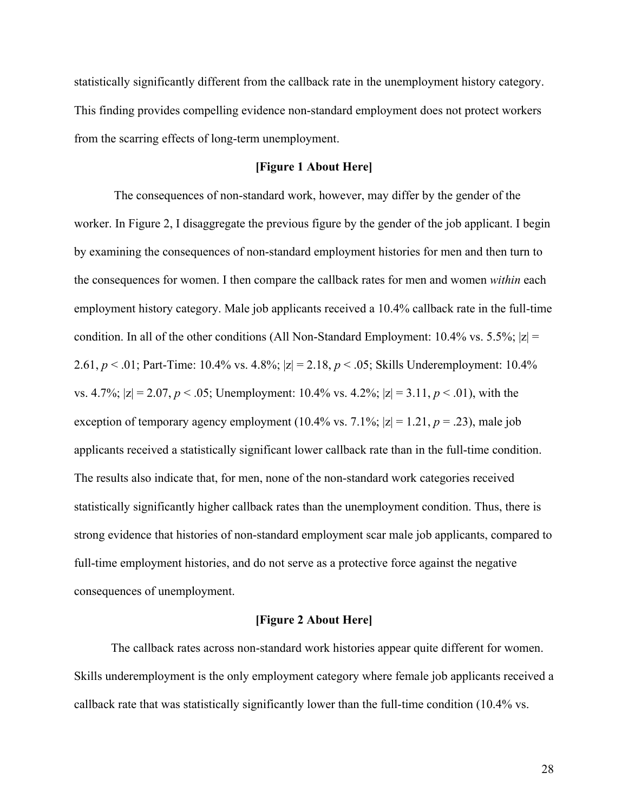statistically significantly different from the callback rate in the unemployment history category. This finding provides compelling evidence non-standard employment does not protect workers from the scarring effects of long-term unemployment.

## **[Figure 1 About Here]**

The consequences of non-standard work, however, may differ by the gender of the worker. In Figure 2, I disaggregate the previous figure by the gender of the job applicant. I begin by examining the consequences of non-standard employment histories for men and then turn to the consequences for women. I then compare the callback rates for men and women *within* each employment history category. Male job applicants received a 10.4% callback rate in the full-time condition. In all of the other conditions (All Non-Standard Employment: 10.4% vs. 5.5%;  $|z|$  = 2.61, *p* < .01; Part-Time: 10.4% vs. 4.8%; |z| = 2.18, *p* < .05; Skills Underemployment: 10.4% vs. 4.7%;  $|z| = 2.07$ ,  $p < .05$ ; Unemployment: 10.4% vs. 4.2%;  $|z| = 3.11$ ,  $p < .01$ ), with the exception of temporary agency employment (10.4% vs.  $7.1\%$ ;  $|z| = 1.21$ ,  $p = .23$ ), male job applicants received a statistically significant lower callback rate than in the full-time condition. The results also indicate that, for men, none of the non-standard work categories received statistically significantly higher callback rates than the unemployment condition. Thus, there is strong evidence that histories of non-standard employment scar male job applicants, compared to full-time employment histories, and do not serve as a protective force against the negative consequences of unemployment.

## **[Figure 2 About Here]**

The callback rates across non-standard work histories appear quite different for women. Skills underemployment is the only employment category where female job applicants received a callback rate that was statistically significantly lower than the full-time condition (10.4% vs.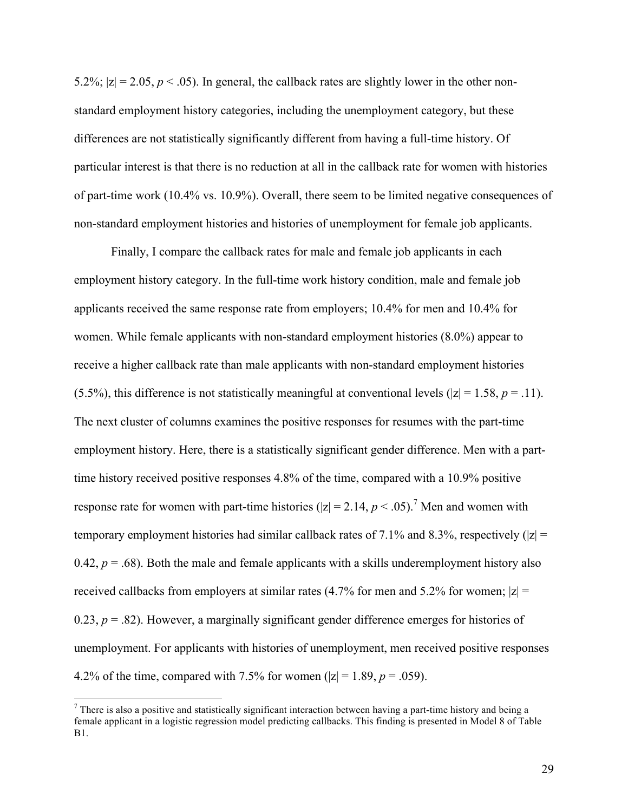5.2%;  $|z| = 2.05$ ,  $p < .05$ ). In general, the callback rates are slightly lower in the other nonstandard employment history categories, including the unemployment category, but these differences are not statistically significantly different from having a full-time history. Of particular interest is that there is no reduction at all in the callback rate for women with histories of part-time work (10.4% vs. 10.9%). Overall, there seem to be limited negative consequences of non-standard employment histories and histories of unemployment for female job applicants.

Finally, I compare the callback rates for male and female job applicants in each employment history category. In the full-time work history condition, male and female job applicants received the same response rate from employers; 10.4% for men and 10.4% for women. While female applicants with non-standard employment histories (8.0%) appear to receive a higher callback rate than male applicants with non-standard employment histories (5.5%), this difference is not statistically meaningful at conventional levels ( $|z| = 1.58$ ,  $p = .11$ ). The next cluster of columns examines the positive responses for resumes with the part-time employment history. Here, there is a statistically significant gender difference. Men with a parttime history received positive responses 4.8% of the time, compared with a 10.9% positive response rate for women with part-time histories ( $|z| = 2.14$ ,  $p < .05$ ).<sup>7</sup> Men and women with temporary employment histories had similar callback rates of 7.1% and 8.3%, respectively ( $|z|$  = 0.42,  $p = .68$ ). Both the male and female applicants with a skills underemployment history also received callbacks from employers at similar rates (4.7% for men and 5.2% for women;  $|z|$  = 0.23,  $p = 0.82$ ). However, a marginally significant gender difference emerges for histories of unemployment. For applicants with histories of unemployment, men received positive responses 4.2% of the time, compared with 7.5% for women ( $|z| = 1.89$ ,  $p = .059$ ).

 $7$  There is also a positive and statistically significant interaction between having a part-time history and being a female applicant in a logistic regression model predicting callbacks. This finding is presented in Model 8 of Table B1.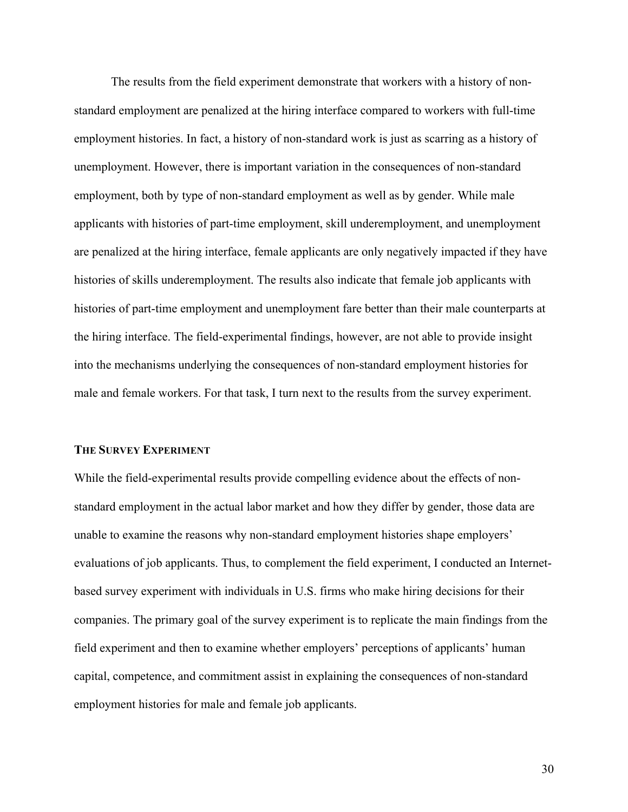The results from the field experiment demonstrate that workers with a history of nonstandard employment are penalized at the hiring interface compared to workers with full-time employment histories. In fact, a history of non-standard work is just as scarring as a history of unemployment. However, there is important variation in the consequences of non-standard employment, both by type of non-standard employment as well as by gender. While male applicants with histories of part-time employment, skill underemployment, and unemployment are penalized at the hiring interface, female applicants are only negatively impacted if they have histories of skills underemployment. The results also indicate that female job applicants with histories of part-time employment and unemployment fare better than their male counterparts at the hiring interface. The field-experimental findings, however, are not able to provide insight into the mechanisms underlying the consequences of non-standard employment histories for male and female workers. For that task, I turn next to the results from the survey experiment.

#### **THE SURVEY EXPERIMENT**

While the field-experimental results provide compelling evidence about the effects of nonstandard employment in the actual labor market and how they differ by gender, those data are unable to examine the reasons why non-standard employment histories shape employers' evaluations of job applicants. Thus, to complement the field experiment, I conducted an Internetbased survey experiment with individuals in U.S. firms who make hiring decisions for their companies. The primary goal of the survey experiment is to replicate the main findings from the field experiment and then to examine whether employers' perceptions of applicants' human capital, competence, and commitment assist in explaining the consequences of non-standard employment histories for male and female job applicants.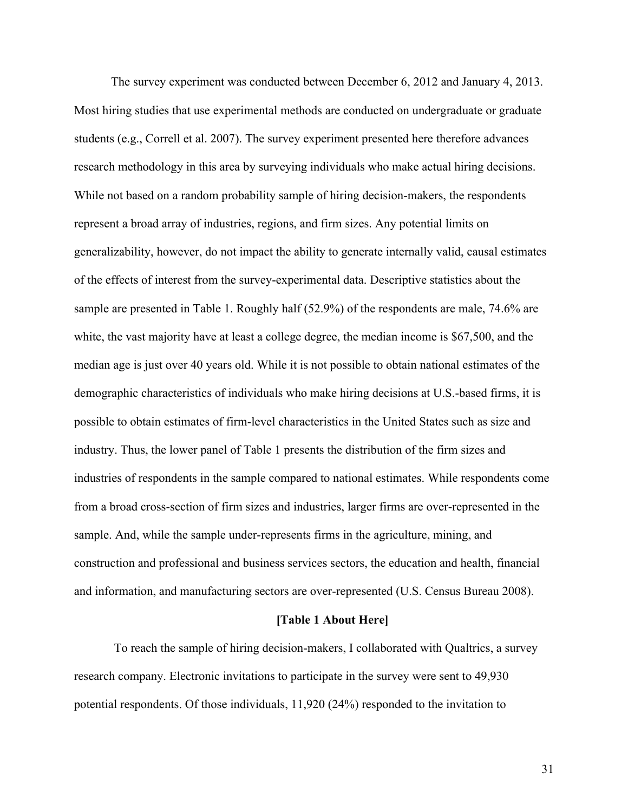The survey experiment was conducted between December 6, 2012 and January 4, 2013. Most hiring studies that use experimental methods are conducted on undergraduate or graduate students (e.g., Correll et al. 2007). The survey experiment presented here therefore advances research methodology in this area by surveying individuals who make actual hiring decisions. While not based on a random probability sample of hiring decision-makers, the respondents represent a broad array of industries, regions, and firm sizes. Any potential limits on generalizability, however, do not impact the ability to generate internally valid, causal estimates of the effects of interest from the survey-experimental data. Descriptive statistics about the sample are presented in Table 1. Roughly half (52.9%) of the respondents are male, 74.6% are white, the vast majority have at least a college degree, the median income is \$67,500, and the median age is just over 40 years old. While it is not possible to obtain national estimates of the demographic characteristics of individuals who make hiring decisions at U.S.-based firms, it is possible to obtain estimates of firm-level characteristics in the United States such as size and industry. Thus, the lower panel of Table 1 presents the distribution of the firm sizes and industries of respondents in the sample compared to national estimates. While respondents come from a broad cross-section of firm sizes and industries, larger firms are over-represented in the sample. And, while the sample under-represents firms in the agriculture, mining, and construction and professional and business services sectors, the education and health, financial and information, and manufacturing sectors are over-represented (U.S. Census Bureau 2008).

## **[Table 1 About Here]**

To reach the sample of hiring decision-makers, I collaborated with Qualtrics, a survey research company. Electronic invitations to participate in the survey were sent to 49,930 potential respondents. Of those individuals, 11,920 (24%) responded to the invitation to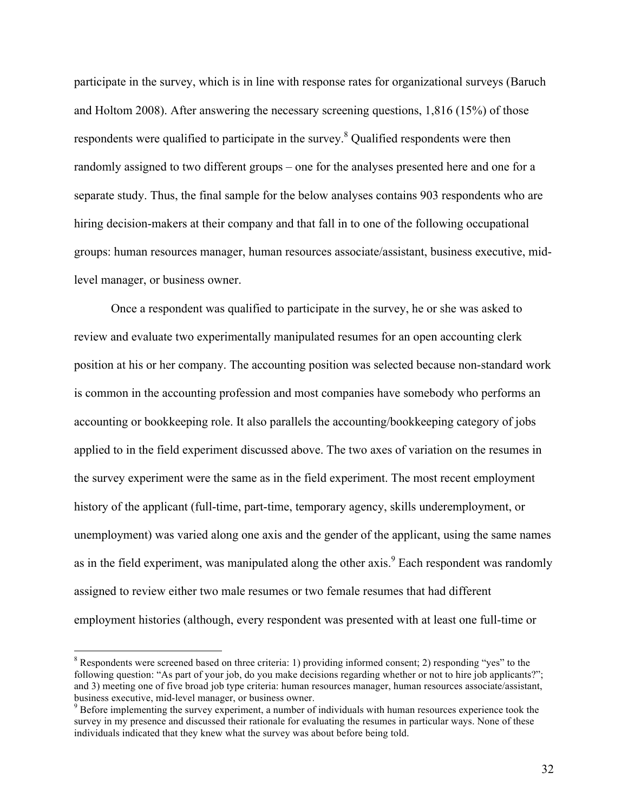participate in the survey, which is in line with response rates for organizational surveys (Baruch and Holtom 2008). After answering the necessary screening questions, 1,816 (15%) of those respondents were qualified to participate in the survey.<sup>8</sup> Qualified respondents were then randomly assigned to two different groups – one for the analyses presented here and one for a separate study. Thus, the final sample for the below analyses contains 903 respondents who are hiring decision-makers at their company and that fall in to one of the following occupational groups: human resources manager, human resources associate/assistant, business executive, midlevel manager, or business owner.

Once a respondent was qualified to participate in the survey, he or she was asked to review and evaluate two experimentally manipulated resumes for an open accounting clerk position at his or her company. The accounting position was selected because non-standard work is common in the accounting profession and most companies have somebody who performs an accounting or bookkeeping role. It also parallels the accounting/bookkeeping category of jobs applied to in the field experiment discussed above. The two axes of variation on the resumes in the survey experiment were the same as in the field experiment. The most recent employment history of the applicant (full-time, part-time, temporary agency, skills underemployment, or unemployment) was varied along one axis and the gender of the applicant, using the same names as in the field experiment, was manipulated along the other axis.<sup>9</sup> Each respondent was randomly assigned to review either two male resumes or two female resumes that had different employment histories (although, every respondent was presented with at least one full-time or

 <sup>8</sup> Respondents were screened based on three criteria: 1) providing informed consent; 2) responding "yes" to the following question: "As part of your job, do you make decisions regarding whether or not to hire job applicants?"; and 3) meeting one of five broad job type criteria: human resources manager, human resources associate/assistant, business executive, mid-level manager, or business owner.<br><sup>9</sup> Before implementing the survey experiment, a number of individuals with human resources experience took the

survey in my presence and discussed their rationale for evaluating the resumes in particular ways. None of these individuals indicated that they knew what the survey was about before being told.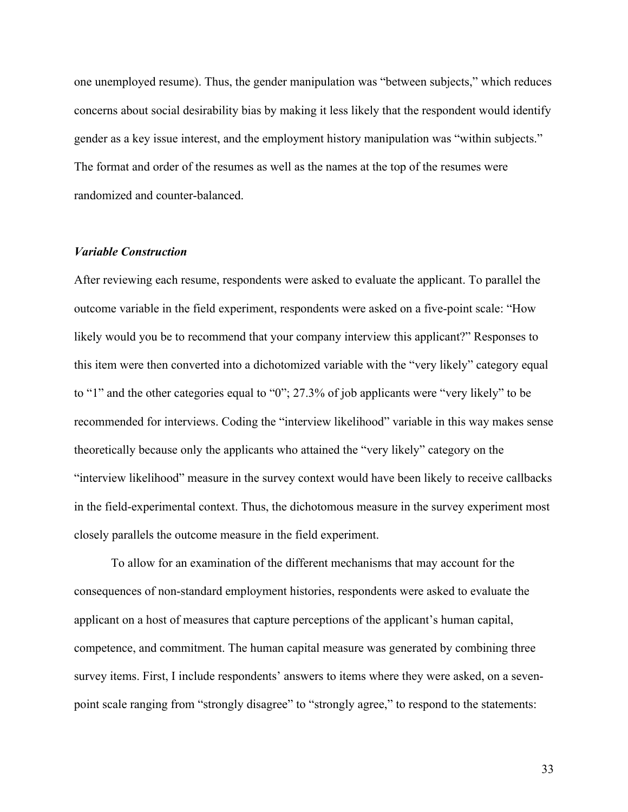one unemployed resume). Thus, the gender manipulation was "between subjects," which reduces concerns about social desirability bias by making it less likely that the respondent would identify gender as a key issue interest, and the employment history manipulation was "within subjects." The format and order of the resumes as well as the names at the top of the resumes were randomized and counter-balanced.

## *Variable Construction*

After reviewing each resume, respondents were asked to evaluate the applicant. To parallel the outcome variable in the field experiment, respondents were asked on a five-point scale: "How likely would you be to recommend that your company interview this applicant?" Responses to this item were then converted into a dichotomized variable with the "very likely" category equal to "1" and the other categories equal to "0"; 27.3% of job applicants were "very likely" to be recommended for interviews. Coding the "interview likelihood" variable in this way makes sense theoretically because only the applicants who attained the "very likely" category on the "interview likelihood" measure in the survey context would have been likely to receive callbacks in the field-experimental context. Thus, the dichotomous measure in the survey experiment most closely parallels the outcome measure in the field experiment.

To allow for an examination of the different mechanisms that may account for the consequences of non-standard employment histories, respondents were asked to evaluate the applicant on a host of measures that capture perceptions of the applicant's human capital, competence, and commitment. The human capital measure was generated by combining three survey items. First, I include respondents' answers to items where they were asked, on a sevenpoint scale ranging from "strongly disagree" to "strongly agree," to respond to the statements: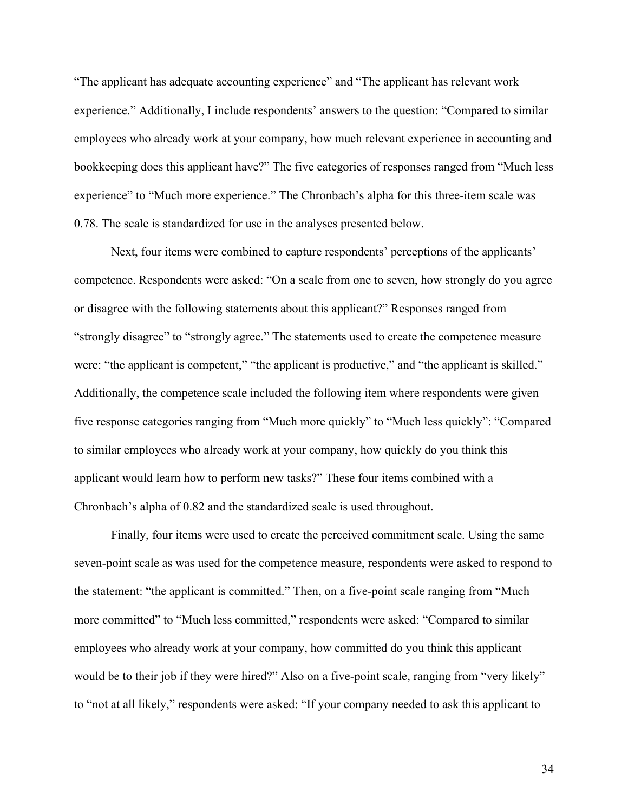"The applicant has adequate accounting experience" and "The applicant has relevant work experience." Additionally, I include respondents' answers to the question: "Compared to similar employees who already work at your company, how much relevant experience in accounting and bookkeeping does this applicant have?" The five categories of responses ranged from "Much less experience" to "Much more experience." The Chronbach's alpha for this three-item scale was 0.78. The scale is standardized for use in the analyses presented below.

Next, four items were combined to capture respondents' perceptions of the applicants' competence. Respondents were asked: "On a scale from one to seven, how strongly do you agree or disagree with the following statements about this applicant?" Responses ranged from "strongly disagree" to "strongly agree." The statements used to create the competence measure were: "the applicant is competent," "the applicant is productive," and "the applicant is skilled." Additionally, the competence scale included the following item where respondents were given five response categories ranging from "Much more quickly" to "Much less quickly": "Compared to similar employees who already work at your company, how quickly do you think this applicant would learn how to perform new tasks?" These four items combined with a Chronbach's alpha of 0.82 and the standardized scale is used throughout.

Finally, four items were used to create the perceived commitment scale. Using the same seven-point scale as was used for the competence measure, respondents were asked to respond to the statement: "the applicant is committed." Then, on a five-point scale ranging from "Much more committed" to "Much less committed," respondents were asked: "Compared to similar employees who already work at your company, how committed do you think this applicant would be to their job if they were hired?" Also on a five-point scale, ranging from "very likely" to "not at all likely," respondents were asked: "If your company needed to ask this applicant to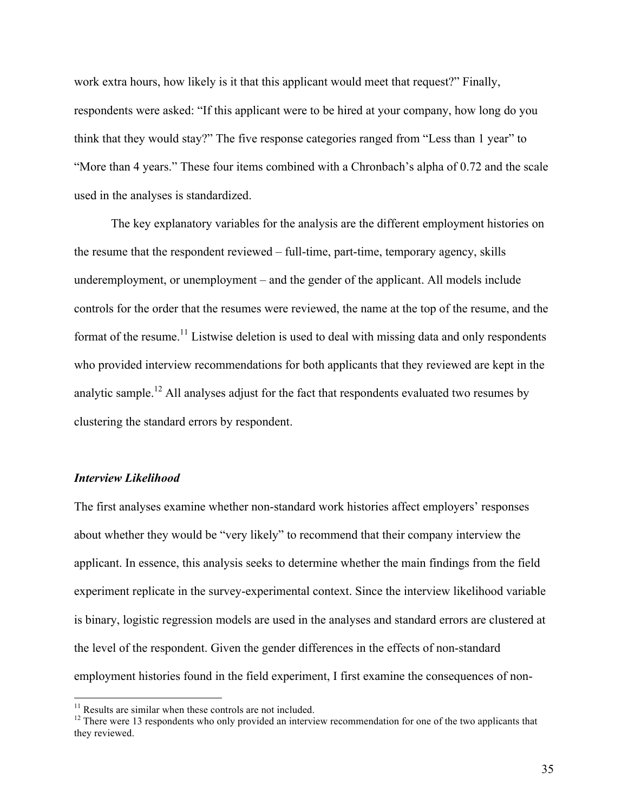work extra hours, how likely is it that this applicant would meet that request?" Finally, respondents were asked: "If this applicant were to be hired at your company, how long do you think that they would stay?" The five response categories ranged from "Less than 1 year" to "More than 4 years." These four items combined with a Chronbach's alpha of 0.72 and the scale used in the analyses is standardized.

The key explanatory variables for the analysis are the different employment histories on the resume that the respondent reviewed – full-time, part-time, temporary agency, skills underemployment, or unemployment – and the gender of the applicant. All models include controls for the order that the resumes were reviewed, the name at the top of the resume, and the format of the resume.<sup>11</sup> Listwise deletion is used to deal with missing data and only respondents who provided interview recommendations for both applicants that they reviewed are kept in the analytic sample.<sup>12</sup> All analyses adjust for the fact that respondents evaluated two resumes by clustering the standard errors by respondent.

## *Interview Likelihood*

The first analyses examine whether non-standard work histories affect employers' responses about whether they would be "very likely" to recommend that their company interview the applicant. In essence, this analysis seeks to determine whether the main findings from the field experiment replicate in the survey-experimental context. Since the interview likelihood variable is binary, logistic regression models are used in the analyses and standard errors are clustered at the level of the respondent. Given the gender differences in the effects of non-standard employment histories found in the field experiment, I first examine the consequences of non-

<sup>&</sup>lt;sup>11</sup> Results are similar when these controls are not included.<br><sup>12</sup> There were 13 respondents who only provided an interview recommendation for one of the two applicants that they reviewed.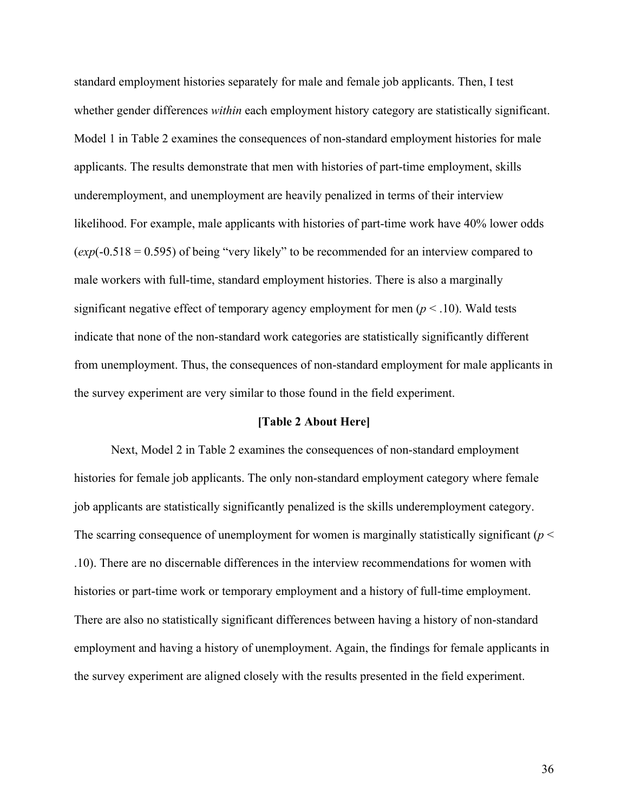standard employment histories separately for male and female job applicants. Then, I test whether gender differences *within* each employment history category are statistically significant. Model 1 in Table 2 examines the consequences of non-standard employment histories for male applicants. The results demonstrate that men with histories of part-time employment, skills underemployment, and unemployment are heavily penalized in terms of their interview likelihood. For example, male applicants with histories of part-time work have 40% lower odds (*exp*(-0.518 = 0.595) of being "very likely" to be recommended for an interview compared to male workers with full-time, standard employment histories. There is also a marginally significant negative effect of temporary agency employment for men ( $p < .10$ ). Wald tests indicate that none of the non-standard work categories are statistically significantly different from unemployment. Thus, the consequences of non-standard employment for male applicants in the survey experiment are very similar to those found in the field experiment.

## **[Table 2 About Here]**

Next, Model 2 in Table 2 examines the consequences of non-standard employment histories for female job applicants. The only non-standard employment category where female job applicants are statistically significantly penalized is the skills underemployment category. The scarring consequence of unemployment for women is marginally statistically significant ( $p <$ .10). There are no discernable differences in the interview recommendations for women with histories or part-time work or temporary employment and a history of full-time employment. There are also no statistically significant differences between having a history of non-standard employment and having a history of unemployment. Again, the findings for female applicants in the survey experiment are aligned closely with the results presented in the field experiment.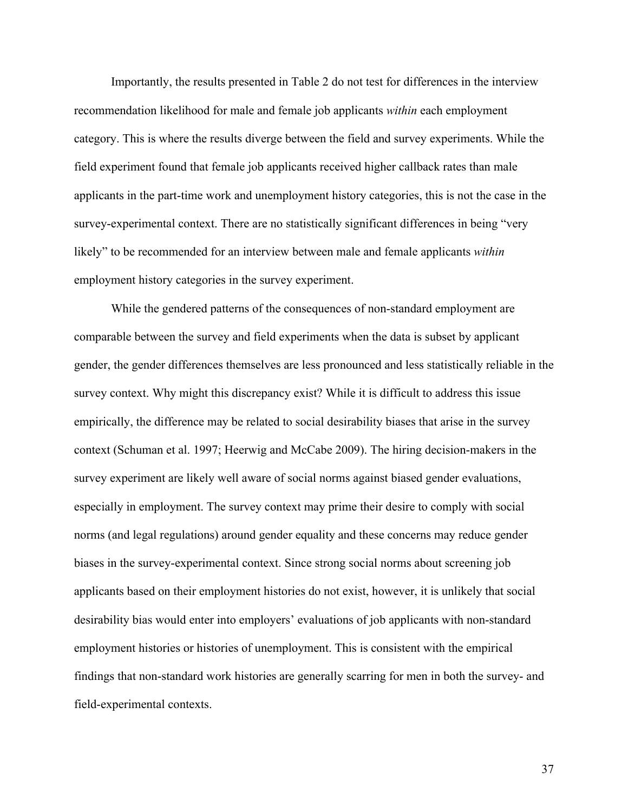Importantly, the results presented in Table 2 do not test for differences in the interview recommendation likelihood for male and female job applicants *within* each employment category. This is where the results diverge between the field and survey experiments. While the field experiment found that female job applicants received higher callback rates than male applicants in the part-time work and unemployment history categories, this is not the case in the survey-experimental context. There are no statistically significant differences in being "very likely" to be recommended for an interview between male and female applicants *within* employment history categories in the survey experiment.

While the gendered patterns of the consequences of non-standard employment are comparable between the survey and field experiments when the data is subset by applicant gender, the gender differences themselves are less pronounced and less statistically reliable in the survey context. Why might this discrepancy exist? While it is difficult to address this issue empirically, the difference may be related to social desirability biases that arise in the survey context (Schuman et al. 1997; Heerwig and McCabe 2009). The hiring decision-makers in the survey experiment are likely well aware of social norms against biased gender evaluations, especially in employment. The survey context may prime their desire to comply with social norms (and legal regulations) around gender equality and these concerns may reduce gender biases in the survey-experimental context. Since strong social norms about screening job applicants based on their employment histories do not exist, however, it is unlikely that social desirability bias would enter into employers' evaluations of job applicants with non-standard employment histories or histories of unemployment. This is consistent with the empirical findings that non-standard work histories are generally scarring for men in both the survey- and field-experimental contexts.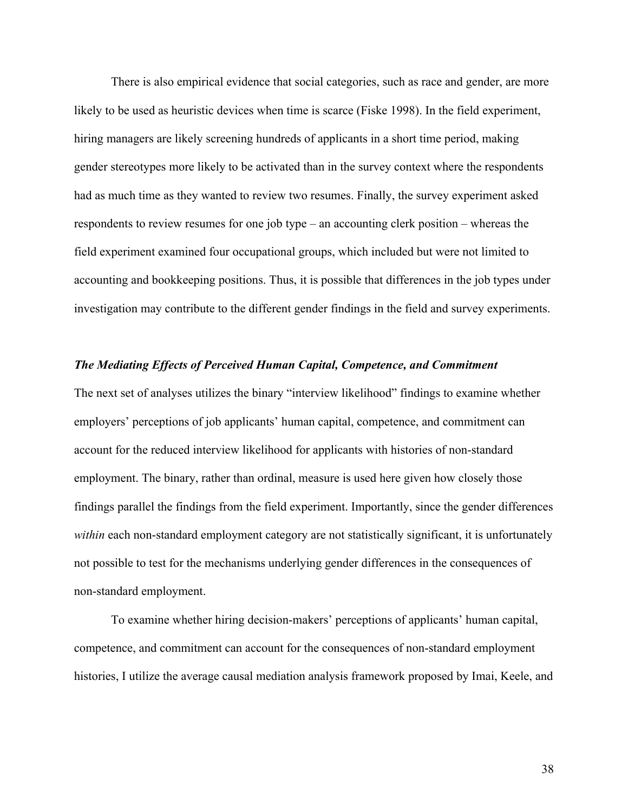There is also empirical evidence that social categories, such as race and gender, are more likely to be used as heuristic devices when time is scarce (Fiske 1998). In the field experiment, hiring managers are likely screening hundreds of applicants in a short time period, making gender stereotypes more likely to be activated than in the survey context where the respondents had as much time as they wanted to review two resumes. Finally, the survey experiment asked respondents to review resumes for one job type – an accounting clerk position – whereas the field experiment examined four occupational groups, which included but were not limited to accounting and bookkeeping positions. Thus, it is possible that differences in the job types under investigation may contribute to the different gender findings in the field and survey experiments.

## *The Mediating Effects of Perceived Human Capital, Competence, and Commitment*

The next set of analyses utilizes the binary "interview likelihood" findings to examine whether employers' perceptions of job applicants' human capital, competence, and commitment can account for the reduced interview likelihood for applicants with histories of non-standard employment. The binary, rather than ordinal, measure is used here given how closely those findings parallel the findings from the field experiment. Importantly, since the gender differences *within* each non-standard employment category are not statistically significant, it is unfortunately not possible to test for the mechanisms underlying gender differences in the consequences of non-standard employment.

To examine whether hiring decision-makers' perceptions of applicants' human capital, competence, and commitment can account for the consequences of non-standard employment histories, I utilize the average causal mediation analysis framework proposed by Imai, Keele, and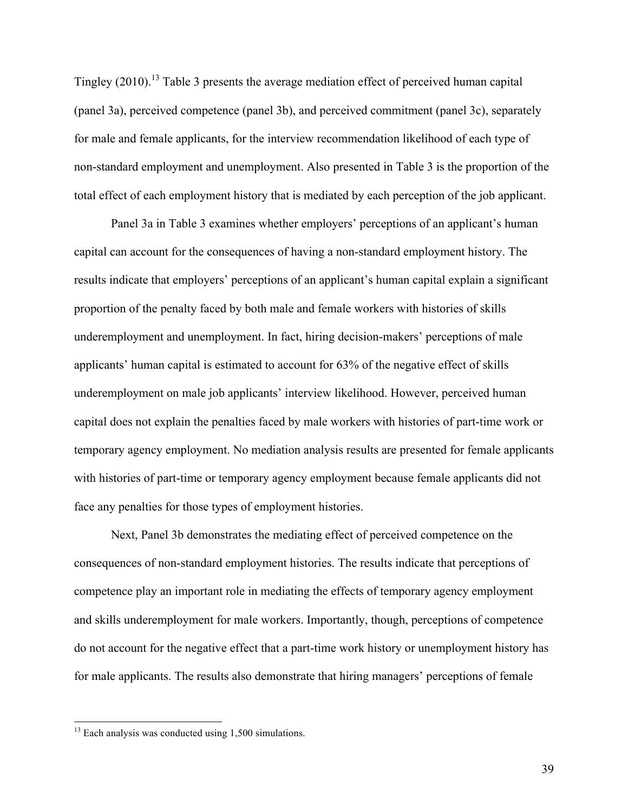Tingley (2010).<sup>13</sup> Table 3 presents the average mediation effect of perceived human capital (panel 3a), perceived competence (panel 3b), and perceived commitment (panel 3c), separately for male and female applicants, for the interview recommendation likelihood of each type of non-standard employment and unemployment. Also presented in Table 3 is the proportion of the total effect of each employment history that is mediated by each perception of the job applicant.

Panel 3a in Table 3 examines whether employers' perceptions of an applicant's human capital can account for the consequences of having a non-standard employment history. The results indicate that employers' perceptions of an applicant's human capital explain a significant proportion of the penalty faced by both male and female workers with histories of skills underemployment and unemployment. In fact, hiring decision-makers' perceptions of male applicants' human capital is estimated to account for 63% of the negative effect of skills underemployment on male job applicants' interview likelihood. However, perceived human capital does not explain the penalties faced by male workers with histories of part-time work or temporary agency employment. No mediation analysis results are presented for female applicants with histories of part-time or temporary agency employment because female applicants did not face any penalties for those types of employment histories.

Next, Panel 3b demonstrates the mediating effect of perceived competence on the consequences of non-standard employment histories. The results indicate that perceptions of competence play an important role in mediating the effects of temporary agency employment and skills underemployment for male workers. Importantly, though, perceptions of competence do not account for the negative effect that a part-time work history or unemployment history has for male applicants. The results also demonstrate that hiring managers' perceptions of female

 $13$  Each analysis was conducted using 1,500 simulations.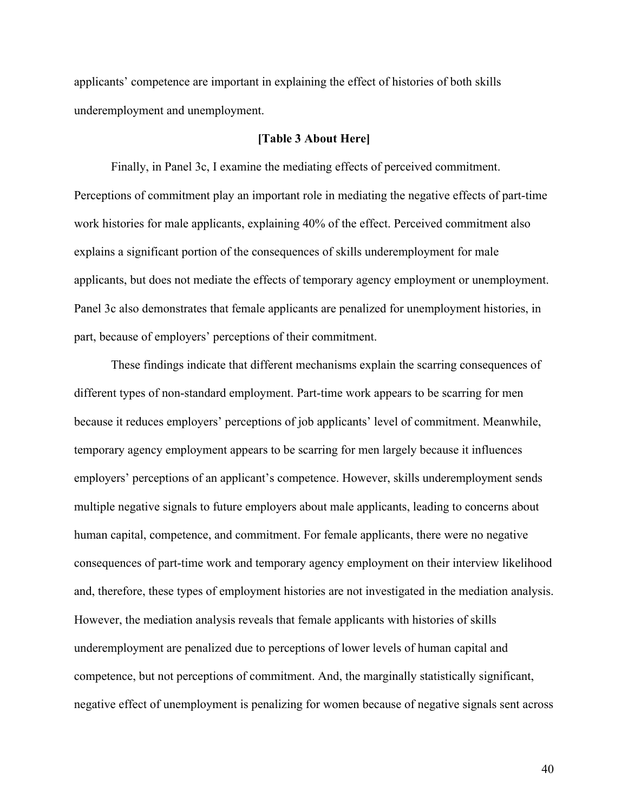applicants' competence are important in explaining the effect of histories of both skills underemployment and unemployment.

## **[Table 3 About Here]**

Finally, in Panel 3c, I examine the mediating effects of perceived commitment. Perceptions of commitment play an important role in mediating the negative effects of part-time work histories for male applicants, explaining 40% of the effect. Perceived commitment also explains a significant portion of the consequences of skills underemployment for male applicants, but does not mediate the effects of temporary agency employment or unemployment. Panel 3c also demonstrates that female applicants are penalized for unemployment histories, in part, because of employers' perceptions of their commitment.

These findings indicate that different mechanisms explain the scarring consequences of different types of non-standard employment. Part-time work appears to be scarring for men because it reduces employers' perceptions of job applicants' level of commitment. Meanwhile, temporary agency employment appears to be scarring for men largely because it influences employers' perceptions of an applicant's competence. However, skills underemployment sends multiple negative signals to future employers about male applicants, leading to concerns about human capital, competence, and commitment. For female applicants, there were no negative consequences of part-time work and temporary agency employment on their interview likelihood and, therefore, these types of employment histories are not investigated in the mediation analysis. However, the mediation analysis reveals that female applicants with histories of skills underemployment are penalized due to perceptions of lower levels of human capital and competence, but not perceptions of commitment. And, the marginally statistically significant, negative effect of unemployment is penalizing for women because of negative signals sent across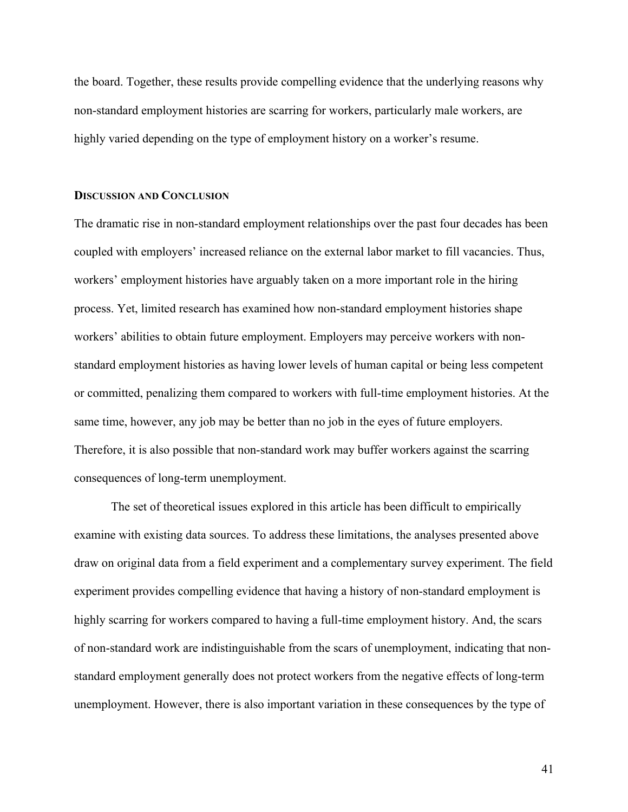the board. Together, these results provide compelling evidence that the underlying reasons why non-standard employment histories are scarring for workers, particularly male workers, are highly varied depending on the type of employment history on a worker's resume.

#### **DISCUSSION AND CONCLUSION**

The dramatic rise in non-standard employment relationships over the past four decades has been coupled with employers' increased reliance on the external labor market to fill vacancies. Thus, workers' employment histories have arguably taken on a more important role in the hiring process. Yet, limited research has examined how non-standard employment histories shape workers' abilities to obtain future employment. Employers may perceive workers with nonstandard employment histories as having lower levels of human capital or being less competent or committed, penalizing them compared to workers with full-time employment histories. At the same time, however, any job may be better than no job in the eyes of future employers. Therefore, it is also possible that non-standard work may buffer workers against the scarring consequences of long-term unemployment.

The set of theoretical issues explored in this article has been difficult to empirically examine with existing data sources. To address these limitations, the analyses presented above draw on original data from a field experiment and a complementary survey experiment. The field experiment provides compelling evidence that having a history of non-standard employment is highly scarring for workers compared to having a full-time employment history. And, the scars of non-standard work are indistinguishable from the scars of unemployment, indicating that nonstandard employment generally does not protect workers from the negative effects of long-term unemployment. However, there is also important variation in these consequences by the type of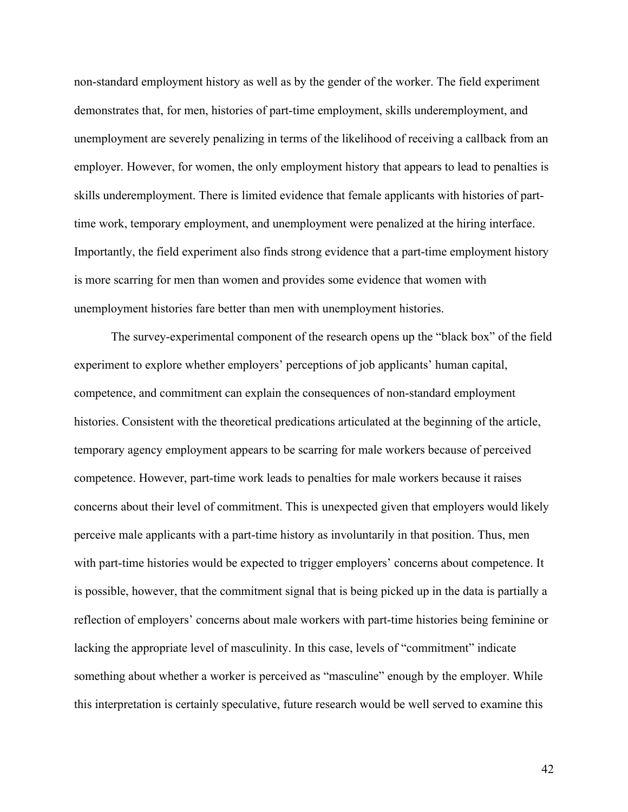non-standard employment history as well as by the gender of the worker. The field experiment demonstrates that, for men, histories of part-time employment, skills underemployment, and unemployment are severely penalizing in terms of the likelihood of receiving a callback from an employer. However, for women, the only employment history that appears to lead to penalties is skills underemployment. There is limited evidence that female applicants with histories of parttime work, temporary employment, and unemployment were penalized at the hiring interface. Importantly, the field experiment also finds strong evidence that a part-time employment history is more scarring for men than women and provides some evidence that women with unemployment histories fare better than men with unemployment histories.

The survey-experimental component of the research opens up the "black box" of the field experiment to explore whether employers' perceptions of job applicants' human capital, competence, and commitment can explain the consequences of non-standard employment histories. Consistent with the theoretical predications articulated at the beginning of the article, temporary agency employment appears to be scarring for male workers because of perceived competence. However, part-time work leads to penalties for male workers because it raises concerns about their level of commitment. This is unexpected given that employers would likely perceive male applicants with a part-time history as involuntarily in that position. Thus, men with part-time histories would be expected to trigger employers' concerns about competence. It is possible, however, that the commitment signal that is being picked up in the data is partially a reflection of employers' concerns about male workers with part-time histories being feminine or lacking the appropriate level of masculinity. In this case, levels of "commitment" indicate something about whether a worker is perceived as "masculine" enough by the employer. While this interpretation is certainly speculative, future research would be well served to examine this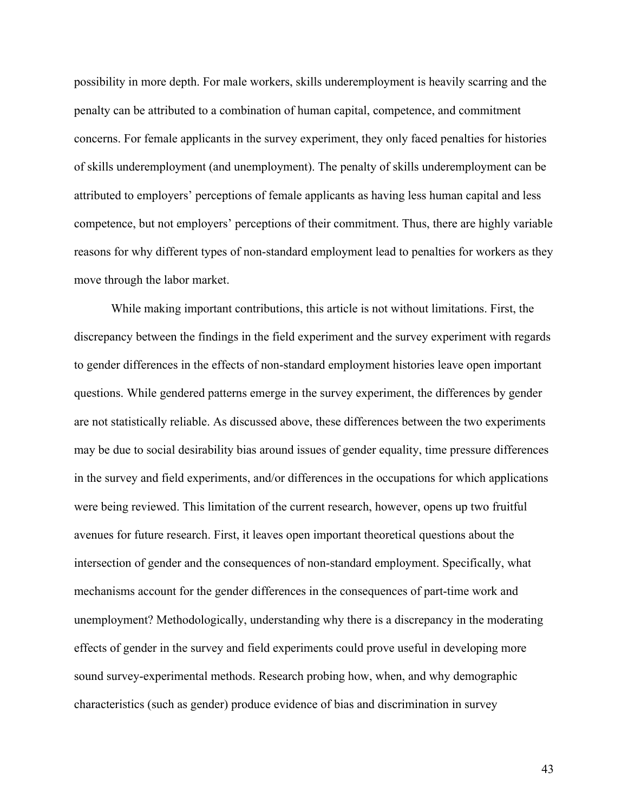possibility in more depth. For male workers, skills underemployment is heavily scarring and the penalty can be attributed to a combination of human capital, competence, and commitment concerns. For female applicants in the survey experiment, they only faced penalties for histories of skills underemployment (and unemployment). The penalty of skills underemployment can be attributed to employers' perceptions of female applicants as having less human capital and less competence, but not employers' perceptions of their commitment. Thus, there are highly variable reasons for why different types of non-standard employment lead to penalties for workers as they move through the labor market.

While making important contributions, this article is not without limitations. First, the discrepancy between the findings in the field experiment and the survey experiment with regards to gender differences in the effects of non-standard employment histories leave open important questions. While gendered patterns emerge in the survey experiment, the differences by gender are not statistically reliable. As discussed above, these differences between the two experiments may be due to social desirability bias around issues of gender equality, time pressure differences in the survey and field experiments, and/or differences in the occupations for which applications were being reviewed. This limitation of the current research, however, opens up two fruitful avenues for future research. First, it leaves open important theoretical questions about the intersection of gender and the consequences of non-standard employment. Specifically, what mechanisms account for the gender differences in the consequences of part-time work and unemployment? Methodologically, understanding why there is a discrepancy in the moderating effects of gender in the survey and field experiments could prove useful in developing more sound survey-experimental methods. Research probing how, when, and why demographic characteristics (such as gender) produce evidence of bias and discrimination in survey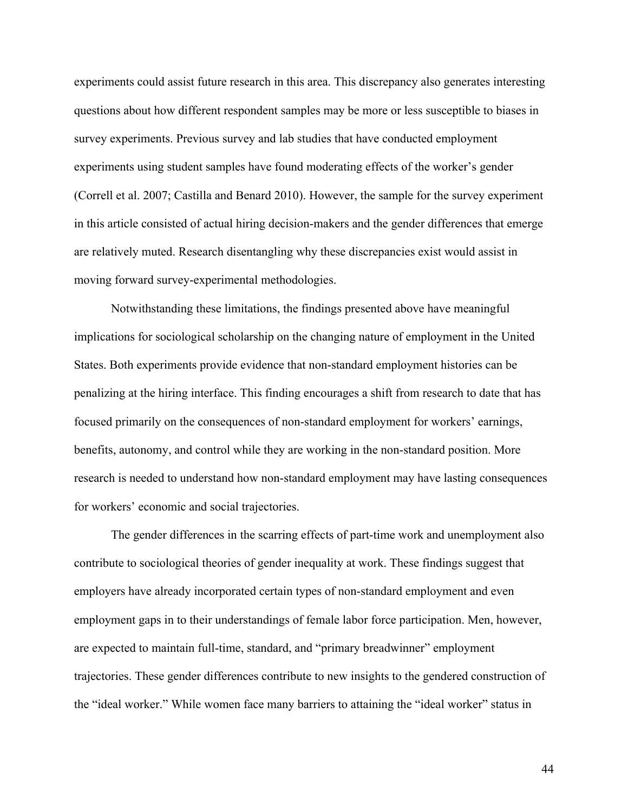experiments could assist future research in this area. This discrepancy also generates interesting questions about how different respondent samples may be more or less susceptible to biases in survey experiments. Previous survey and lab studies that have conducted employment experiments using student samples have found moderating effects of the worker's gender (Correll et al. 2007; Castilla and Benard 2010). However, the sample for the survey experiment in this article consisted of actual hiring decision-makers and the gender differences that emerge are relatively muted. Research disentangling why these discrepancies exist would assist in moving forward survey-experimental methodologies.

Notwithstanding these limitations, the findings presented above have meaningful implications for sociological scholarship on the changing nature of employment in the United States. Both experiments provide evidence that non-standard employment histories can be penalizing at the hiring interface. This finding encourages a shift from research to date that has focused primarily on the consequences of non-standard employment for workers' earnings, benefits, autonomy, and control while they are working in the non-standard position. More research is needed to understand how non-standard employment may have lasting consequences for workers' economic and social trajectories.

The gender differences in the scarring effects of part-time work and unemployment also contribute to sociological theories of gender inequality at work. These findings suggest that employers have already incorporated certain types of non-standard employment and even employment gaps in to their understandings of female labor force participation. Men, however, are expected to maintain full-time, standard, and "primary breadwinner" employment trajectories. These gender differences contribute to new insights to the gendered construction of the "ideal worker." While women face many barriers to attaining the "ideal worker" status in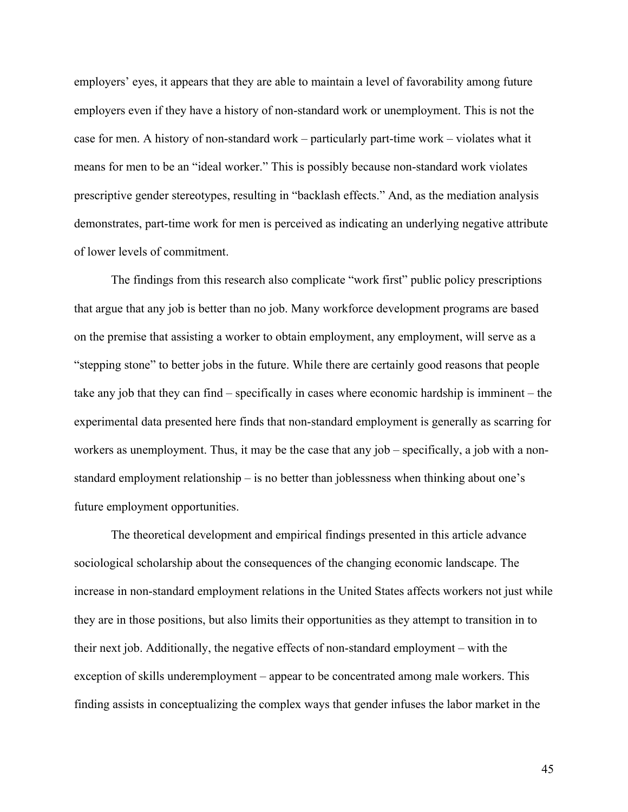employers' eyes, it appears that they are able to maintain a level of favorability among future employers even if they have a history of non-standard work or unemployment. This is not the case for men. A history of non-standard work – particularly part-time work – violates what it means for men to be an "ideal worker." This is possibly because non-standard work violates prescriptive gender stereotypes, resulting in "backlash effects." And, as the mediation analysis demonstrates, part-time work for men is perceived as indicating an underlying negative attribute of lower levels of commitment.

The findings from this research also complicate "work first" public policy prescriptions that argue that any job is better than no job. Many workforce development programs are based on the premise that assisting a worker to obtain employment, any employment, will serve as a "stepping stone" to better jobs in the future. While there are certainly good reasons that people take any job that they can find – specifically in cases where economic hardship is imminent – the experimental data presented here finds that non-standard employment is generally as scarring for workers as unemployment. Thus, it may be the case that any job – specifically, a job with a nonstandard employment relationship – is no better than joblessness when thinking about one's future employment opportunities.

The theoretical development and empirical findings presented in this article advance sociological scholarship about the consequences of the changing economic landscape. The increase in non-standard employment relations in the United States affects workers not just while they are in those positions, but also limits their opportunities as they attempt to transition in to their next job. Additionally, the negative effects of non-standard employment – with the exception of skills underemployment – appear to be concentrated among male workers. This finding assists in conceptualizing the complex ways that gender infuses the labor market in the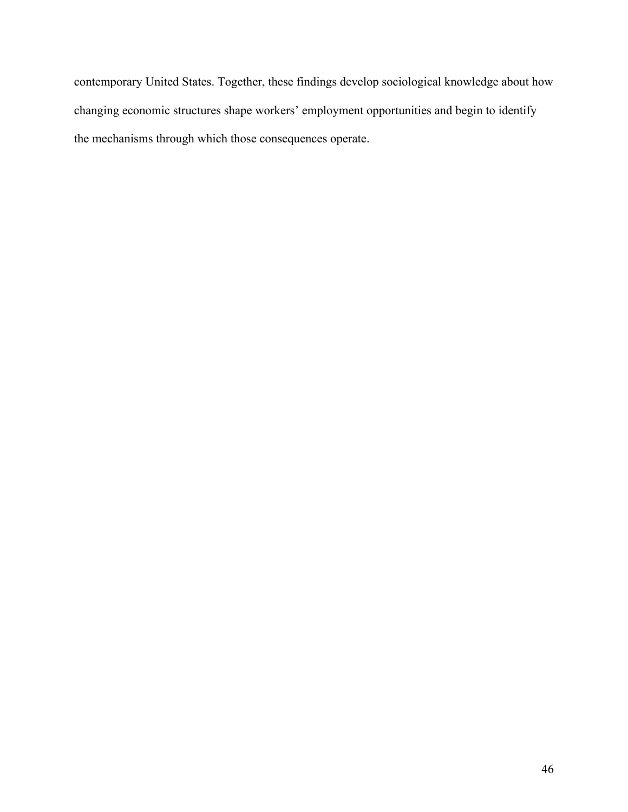contemporary United States. Together, these findings develop sociological knowledge about how changing economic structures shape workers' employment opportunities and begin to identify the mechanisms through which those consequences operate.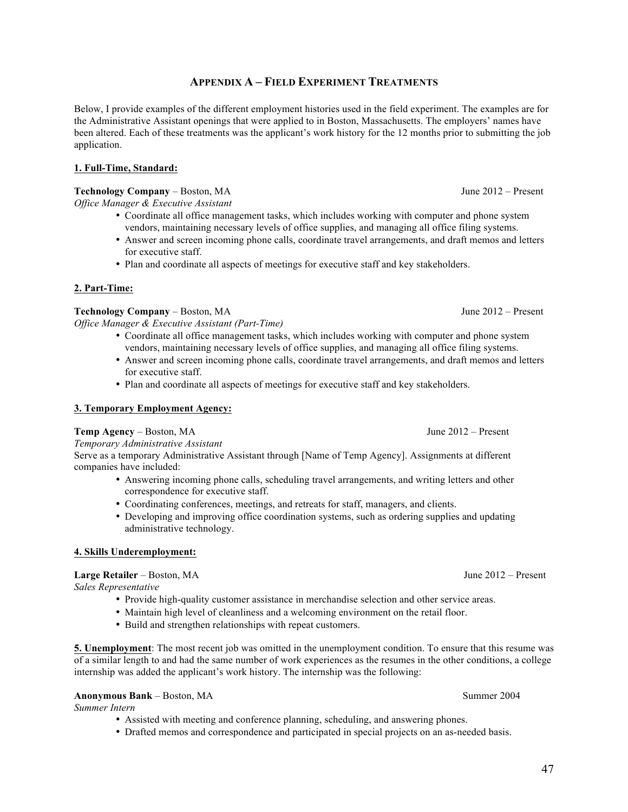## **APPENDIX A – FIELD EXPERIMENT TREATMENTS**

Below, I provide examples of the different employment histories used in the field experiment. The examples are for the Administrative Assistant openings that were applied to in Boston, Massachusetts. The employers' names have been altered. Each of these treatments was the applicant's work history for the 12 months prior to submitting the job application.

## **1. Full-Time, Standard:**

## **Technology Company** – Boston, MA June 2012 – Present

*Office Manager & Executive Assistant*

- Coordinate all office management tasks, which includes working with computer and phone system vendors, maintaining necessary levels of office supplies, and managing all office filing systems.
- Answer and screen incoming phone calls, coordinate travel arrangements, and draft memos and letters for executive staff.
- Plan and coordinate all aspects of meetings for executive staff and key stakeholders.

## **2. Part-Time:**

## **Technology Company** – Boston, MA June 2012 – Present

*Office Manager & Executive Assistant (Part-Time)*

- Coordinate all office management tasks, which includes working with computer and phone system vendors, maintaining necessary levels of office supplies, and managing all office filing systems.
- Answer and screen incoming phone calls, coordinate travel arrangements, and draft memos and letters for executive staff.
- Plan and coordinate all aspects of meetings for executive staff and key stakeholders.

### **3. Temporary Employment Agency:**

### **Temp Agency** – Boston, MA June 2012 – Present

### *Temporary Administrative Assistant*

Serve as a temporary Administrative Assistant through [Name of Temp Agency]. Assignments at different companies have included:

- Answering incoming phone calls, scheduling travel arrangements, and writing letters and other correspondence for executive staff.
- Coordinating conferences, meetings, and retreats for staff, managers, and clients.
- Developing and improving office coordination systems, such as ordering supplies and updating administrative technology.

### **4. Skills Underemployment:**

## **Large Retailer** – Boston, MA June 2012 – Present

*Sales Representative* 

- Provide high-quality customer assistance in merchandise selection and other service areas.
- Maintain high level of cleanliness and a welcoming environment on the retail floor.
- Build and strengthen relationships with repeat customers.

**5. Unemployment**: The most recent job was omitted in the unemployment condition. To ensure that this resume was of a similar length to and had the same number of work experiences as the resumes in the other conditions, a college internship was added the applicant's work history. The internship was the following:

## **Anonymous Bank** – Boston, MA Summer 2004

*Summer Intern* 

- Assisted with meeting and conference planning, scheduling, and answering phones.
- Drafted memos and correspondence and participated in special projects on an as-needed basis.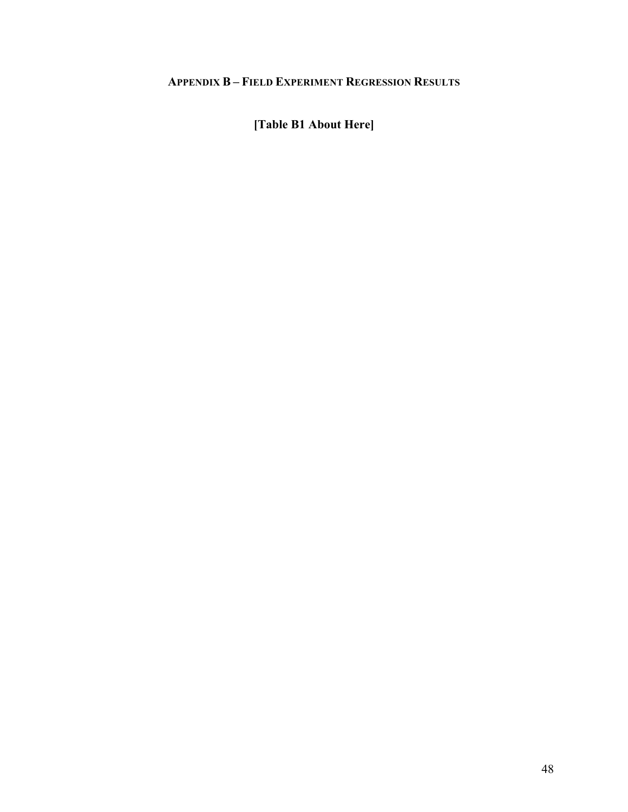# **APPENDIX B – FIELD EXPERIMENT REGRESSION RESULTS**

**[Table B1 About Here]**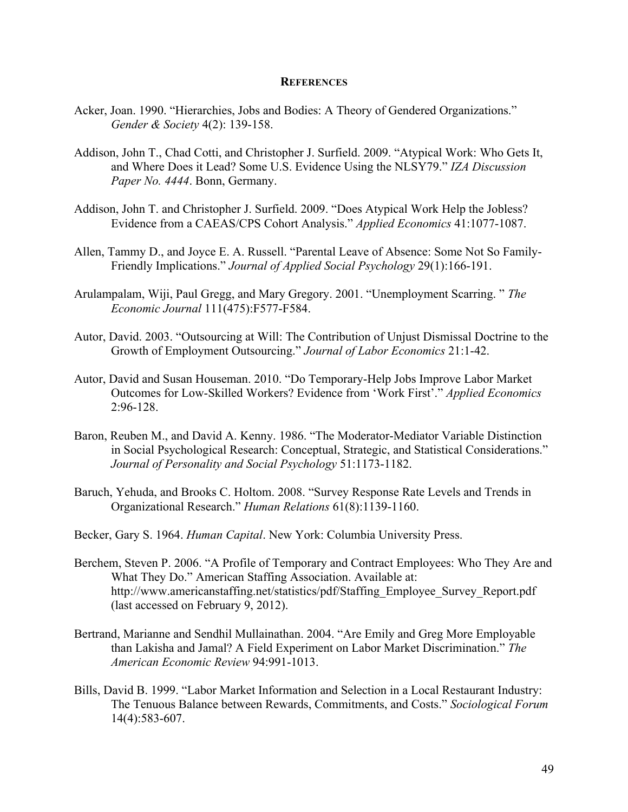#### **REFERENCES**

- Acker, Joan. 1990. "Hierarchies, Jobs and Bodies: A Theory of Gendered Organizations." *Gender & Society* 4(2): 139-158.
- Addison, John T., Chad Cotti, and Christopher J. Surfield. 2009. "Atypical Work: Who Gets It, and Where Does it Lead? Some U.S. Evidence Using the NLSY79." *IZA Discussion Paper No. 4444*. Bonn, Germany.
- Addison, John T. and Christopher J. Surfield. 2009. "Does Atypical Work Help the Jobless? Evidence from a CAEAS/CPS Cohort Analysis." *Applied Economics* 41:1077-1087.
- Allen, Tammy D., and Joyce E. A. Russell. "Parental Leave of Absence: Some Not So Family-Friendly Implications." *Journal of Applied Social Psychology* 29(1):166-191.
- Arulampalam, Wiji, Paul Gregg, and Mary Gregory. 2001. "Unemployment Scarring. " *The Economic Journal* 111(475):F577-F584.
- Autor, David. 2003. "Outsourcing at Will: The Contribution of Unjust Dismissal Doctrine to the Growth of Employment Outsourcing." *Journal of Labor Economics* 21:1-42.
- Autor, David and Susan Houseman. 2010. "Do Temporary-Help Jobs Improve Labor Market Outcomes for Low-Skilled Workers? Evidence from 'Work First'." *Applied Economics* 2:96-128.
- Baron, Reuben M., and David A. Kenny. 1986. "The Moderator-Mediator Variable Distinction in Social Psychological Research: Conceptual, Strategic, and Statistical Considerations." *Journal of Personality and Social Psychology* 51:1173-1182.
- Baruch, Yehuda, and Brooks C. Holtom. 2008. "Survey Response Rate Levels and Trends in Organizational Research." *Human Relations* 61(8):1139-1160.
- Becker, Gary S. 1964. *Human Capital*. New York: Columbia University Press.
- Berchem, Steven P. 2006. "A Profile of Temporary and Contract Employees: Who They Are and What They Do." American Staffing Association. Available at: http://www.americanstaffing.net/statistics/pdf/Staffing\_Employee\_Survey\_Report.pdf (last accessed on February 9, 2012).
- Bertrand, Marianne and Sendhil Mullainathan. 2004. "Are Emily and Greg More Employable than Lakisha and Jamal? A Field Experiment on Labor Market Discrimination." *The American Economic Review* 94:991-1013.
- Bills, David B. 1999. "Labor Market Information and Selection in a Local Restaurant Industry: The Tenuous Balance between Rewards, Commitments, and Costs." *Sociological Forum* 14(4):583-607.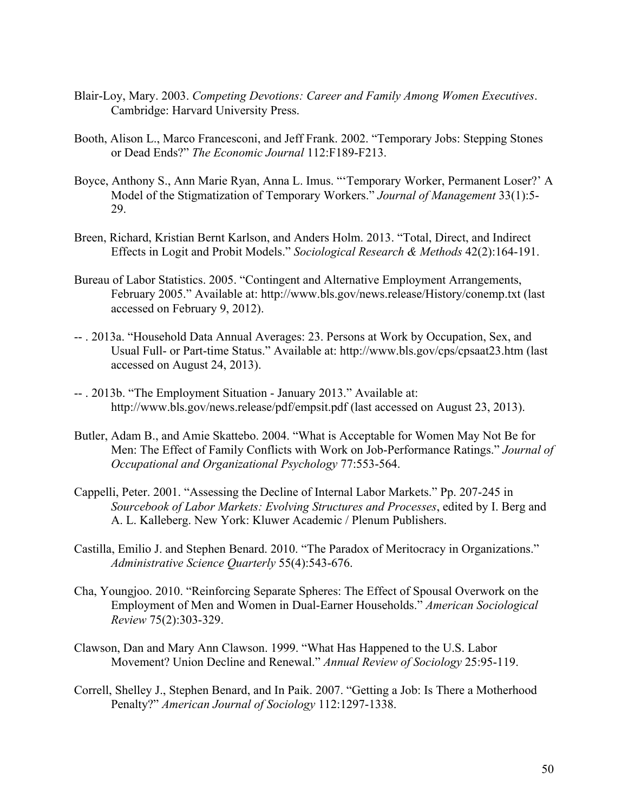- Blair-Loy, Mary. 2003. *Competing Devotions: Career and Family Among Women Executives*. Cambridge: Harvard University Press.
- Booth, Alison L., Marco Francesconi, and Jeff Frank. 2002. "Temporary Jobs: Stepping Stones or Dead Ends?" *The Economic Journal* 112:F189-F213.
- Boyce, Anthony S., Ann Marie Ryan, Anna L. Imus. "'Temporary Worker, Permanent Loser?' A Model of the Stigmatization of Temporary Workers." *Journal of Management* 33(1):5- 29.
- Breen, Richard, Kristian Bernt Karlson, and Anders Holm. 2013. "Total, Direct, and Indirect Effects in Logit and Probit Models." *Sociological Research & Methods* 42(2):164-191.
- Bureau of Labor Statistics. 2005. "Contingent and Alternative Employment Arrangements, February 2005." Available at: http://www.bls.gov/news.release/History/conemp.txt (last accessed on February 9, 2012).
- -- . 2013a. "Household Data Annual Averages: 23. Persons at Work by Occupation, Sex, and Usual Full- or Part-time Status." Available at: http://www.bls.gov/cps/cpsaat23.htm (last accessed on August 24, 2013).
- -- . 2013b. "The Employment Situation January 2013." Available at: http://www.bls.gov/news.release/pdf/empsit.pdf (last accessed on August 23, 2013).
- Butler, Adam B., and Amie Skattebo. 2004. "What is Acceptable for Women May Not Be for Men: The Effect of Family Conflicts with Work on Job-Performance Ratings." *Journal of Occupational and Organizational Psychology* 77:553-564.
- Cappelli, Peter. 2001. "Assessing the Decline of Internal Labor Markets." Pp. 207-245 in *Sourcebook of Labor Markets: Evolving Structures and Processes*, edited by I. Berg and A. L. Kalleberg. New York: Kluwer Academic / Plenum Publishers.
- Castilla, Emilio J. and Stephen Benard. 2010. "The Paradox of Meritocracy in Organizations." *Administrative Science Quarterly* 55(4):543-676.
- Cha, Youngjoo. 2010. "Reinforcing Separate Spheres: The Effect of Spousal Overwork on the Employment of Men and Women in Dual-Earner Households." *American Sociological Review* 75(2):303-329.
- Clawson, Dan and Mary Ann Clawson. 1999. "What Has Happened to the U.S. Labor Movement? Union Decline and Renewal." *Annual Review of Sociology* 25:95-119.
- Correll, Shelley J., Stephen Benard, and In Paik. 2007. "Getting a Job: Is There a Motherhood Penalty?" *American Journal of Sociology* 112:1297-1338.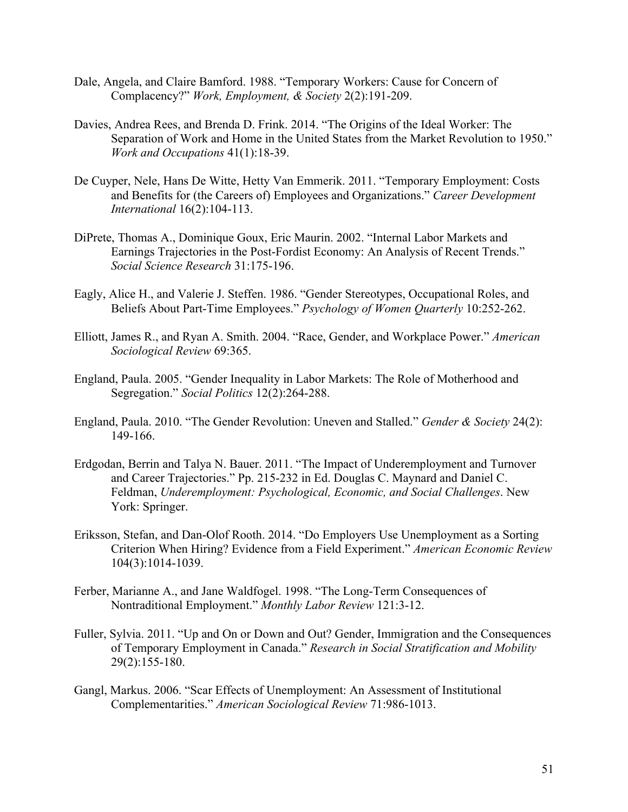- Dale, Angela, and Claire Bamford. 1988. "Temporary Workers: Cause for Concern of Complacency?" *Work, Employment, & Society* 2(2):191-209.
- Davies, Andrea Rees, and Brenda D. Frink. 2014. "The Origins of the Ideal Worker: The Separation of Work and Home in the United States from the Market Revolution to 1950." *Work and Occupations* 41(1):18-39.
- De Cuyper, Nele, Hans De Witte, Hetty Van Emmerik. 2011. "Temporary Employment: Costs and Benefits for (the Careers of) Employees and Organizations." *Career Development International* 16(2):104-113.
- DiPrete, Thomas A., Dominique Goux, Eric Maurin. 2002. "Internal Labor Markets and Earnings Trajectories in the Post-Fordist Economy: An Analysis of Recent Trends." *Social Science Research* 31:175-196.
- Eagly, Alice H., and Valerie J. Steffen. 1986. "Gender Stereotypes, Occupational Roles, and Beliefs About Part-Time Employees." *Psychology of Women Quarterly* 10:252-262.
- Elliott, James R., and Ryan A. Smith. 2004. "Race, Gender, and Workplace Power." *American Sociological Review* 69:365.
- England, Paula. 2005. "Gender Inequality in Labor Markets: The Role of Motherhood and Segregation." *Social Politics* 12(2):264-288.
- England, Paula. 2010. "The Gender Revolution: Uneven and Stalled." *Gender & Society* 24(2): 149-166.
- Erdgodan, Berrin and Talya N. Bauer. 2011. "The Impact of Underemployment and Turnover and Career Trajectories." Pp. 215-232 in Ed. Douglas C. Maynard and Daniel C. Feldman, *Underemployment: Psychological, Economic, and Social Challenges*. New York: Springer.
- Eriksson, Stefan, and Dan-Olof Rooth. 2014. "Do Employers Use Unemployment as a Sorting Criterion When Hiring? Evidence from a Field Experiment." *American Economic Review* 104(3):1014-1039.
- Ferber, Marianne A., and Jane Waldfogel. 1998. "The Long-Term Consequences of Nontraditional Employment." *Monthly Labor Review* 121:3-12.
- Fuller, Sylvia. 2011. "Up and On or Down and Out? Gender, Immigration and the Consequences of Temporary Employment in Canada." *Research in Social Stratification and Mobility* 29(2):155-180.
- Gangl, Markus. 2006. "Scar Effects of Unemployment: An Assessment of Institutional Complementarities." *American Sociological Review* 71:986-1013.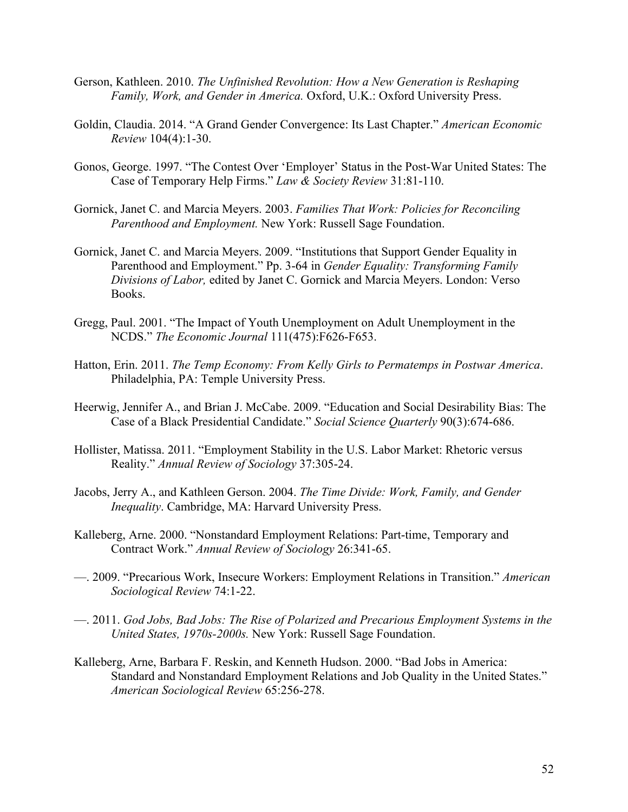- Gerson, Kathleen. 2010. *The Unfinished Revolution: How a New Generation is Reshaping Family, Work, and Gender in America.* Oxford, U.K.: Oxford University Press.
- Goldin, Claudia. 2014. "A Grand Gender Convergence: Its Last Chapter." *American Economic Review* 104(4):1-30.
- Gonos, George. 1997. "The Contest Over 'Employer' Status in the Post-War United States: The Case of Temporary Help Firms." *Law & Society Review* 31:81-110.
- Gornick, Janet C. and Marcia Meyers. 2003. *Families That Work: Policies for Reconciling Parenthood and Employment.* New York: Russell Sage Foundation.
- Gornick, Janet C. and Marcia Meyers. 2009. "Institutions that Support Gender Equality in Parenthood and Employment." Pp. 3-64 in *Gender Equality: Transforming Family Divisions of Labor,* edited by Janet C. Gornick and Marcia Meyers. London: Verso Books.
- Gregg, Paul. 2001. "The Impact of Youth Unemployment on Adult Unemployment in the NCDS." *The Economic Journal* 111(475):F626-F653.
- Hatton, Erin. 2011. *The Temp Economy: From Kelly Girls to Permatemps in Postwar America*. Philadelphia, PA: Temple University Press.
- Heerwig, Jennifer A., and Brian J. McCabe. 2009. "Education and Social Desirability Bias: The Case of a Black Presidential Candidate." *Social Science Quarterly* 90(3):674-686.
- Hollister, Matissa. 2011. "Employment Stability in the U.S. Labor Market: Rhetoric versus Reality." *Annual Review of Sociology* 37:305-24.
- Jacobs, Jerry A., and Kathleen Gerson. 2004. *The Time Divide: Work, Family, and Gender Inequality*. Cambridge, MA: Harvard University Press.
- Kalleberg, Arne. 2000. "Nonstandard Employment Relations: Part-time, Temporary and Contract Work." *Annual Review of Sociology* 26:341-65.
- —. 2009. "Precarious Work, Insecure Workers: Employment Relations in Transition." *American Sociological Review* 74:1-22.
- —. 2011. *God Jobs, Bad Jobs: The Rise of Polarized and Precarious Employment Systems in the United States, 1970s-2000s.* New York: Russell Sage Foundation.
- Kalleberg, Arne, Barbara F. Reskin, and Kenneth Hudson. 2000. "Bad Jobs in America: Standard and Nonstandard Employment Relations and Job Quality in the United States." *American Sociological Review* 65:256-278.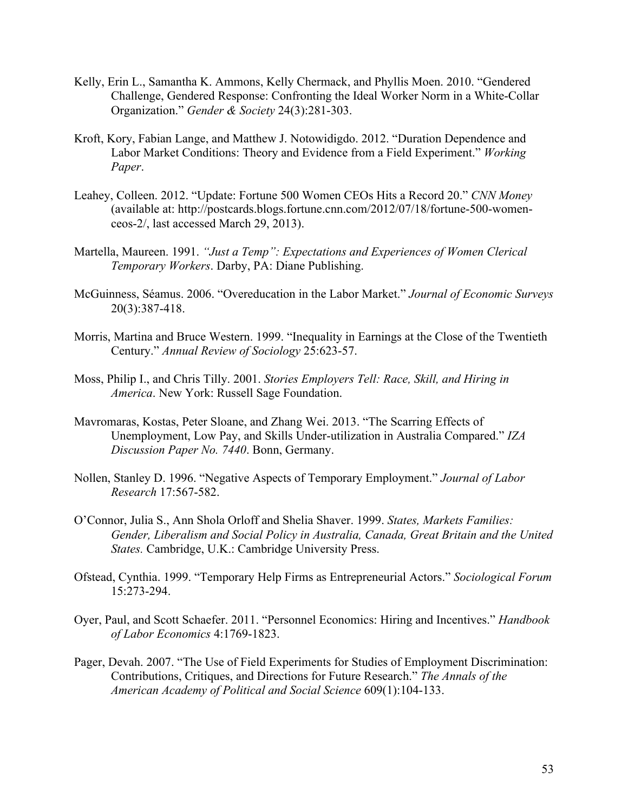- Kelly, Erin L., Samantha K. Ammons, Kelly Chermack, and Phyllis Moen. 2010. "Gendered Challenge, Gendered Response: Confronting the Ideal Worker Norm in a White-Collar Organization." *Gender & Society* 24(3):281-303.
- Kroft, Kory, Fabian Lange, and Matthew J. Notowidigdo. 2012. "Duration Dependence and Labor Market Conditions: Theory and Evidence from a Field Experiment." *Working Paper*.
- Leahey, Colleen. 2012. "Update: Fortune 500 Women CEOs Hits a Record 20." *CNN Money* (available at: http://postcards.blogs.fortune.cnn.com/2012/07/18/fortune-500-womenceos-2/, last accessed March 29, 2013).
- Martella, Maureen. 1991. *"Just a Temp": Expectations and Experiences of Women Clerical Temporary Workers*. Darby, PA: Diane Publishing.
- McGuinness, Séamus. 2006. "Overeducation in the Labor Market." *Journal of Economic Surveys* 20(3):387-418.
- Morris, Martina and Bruce Western. 1999. "Inequality in Earnings at the Close of the Twentieth Century." *Annual Review of Sociology* 25:623-57.
- Moss, Philip I., and Chris Tilly. 2001. *Stories Employers Tell: Race, Skill, and Hiring in America*. New York: Russell Sage Foundation.
- Mavromaras, Kostas, Peter Sloane, and Zhang Wei. 2013. "The Scarring Effects of Unemployment, Low Pay, and Skills Under-utilization in Australia Compared." *IZA Discussion Paper No. 7440*. Bonn, Germany.
- Nollen, Stanley D. 1996. "Negative Aspects of Temporary Employment." *Journal of Labor Research* 17:567-582.
- O'Connor, Julia S., Ann Shola Orloff and Shelia Shaver. 1999. *States, Markets Families: Gender, Liberalism and Social Policy in Australia, Canada, Great Britain and the United States.* Cambridge, U.K.: Cambridge University Press.
- Ofstead, Cynthia. 1999. "Temporary Help Firms as Entrepreneurial Actors." *Sociological Forum* 15:273-294.
- Oyer, Paul, and Scott Schaefer. 2011. "Personnel Economics: Hiring and Incentives." *Handbook of Labor Economics* 4:1769-1823.
- Pager, Devah. 2007. "The Use of Field Experiments for Studies of Employment Discrimination: Contributions, Critiques, and Directions for Future Research." *The Annals of the American Academy of Political and Social Science* 609(1):104-133.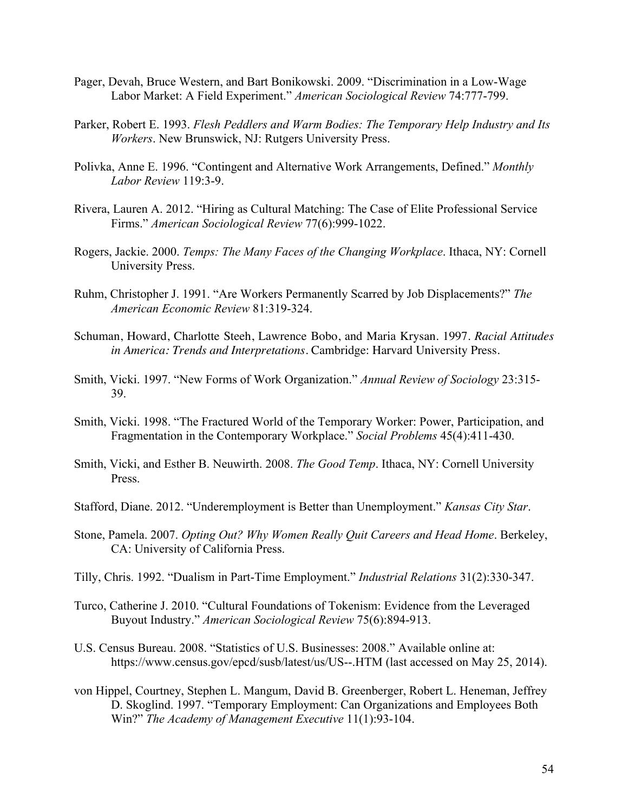- Pager, Devah, Bruce Western, and Bart Bonikowski. 2009. "Discrimination in a Low-Wage Labor Market: A Field Experiment." *American Sociological Review* 74:777-799.
- Parker, Robert E. 1993. *Flesh Peddlers and Warm Bodies: The Temporary Help Industry and Its Workers*. New Brunswick, NJ: Rutgers University Press.
- Polivka, Anne E. 1996. "Contingent and Alternative Work Arrangements, Defined." *Monthly Labor Review* 119:3-9.
- Rivera, Lauren A. 2012. "Hiring as Cultural Matching: The Case of Elite Professional Service Firms." *American Sociological Review* 77(6):999-1022.
- Rogers, Jackie. 2000. *Temps: The Many Faces of the Changing Workplace*. Ithaca, NY: Cornell University Press.
- Ruhm, Christopher J. 1991. "Are Workers Permanently Scarred by Job Displacements?" *The American Economic Review* 81:319-324.
- Schuman, Howard, Charlotte Steeh, Lawrence Bobo, and Maria Krysan. 1997. *Racial Attitudes in America: Trends and Interpretations*. Cambridge: Harvard University Press.
- Smith, Vicki. 1997. "New Forms of Work Organization." *Annual Review of Sociology* 23:315- 39.
- Smith, Vicki. 1998. "The Fractured World of the Temporary Worker: Power, Participation, and Fragmentation in the Contemporary Workplace." *Social Problems* 45(4):411-430.
- Smith, Vicki, and Esther B. Neuwirth. 2008. *The Good Temp*. Ithaca, NY: Cornell University Press.
- Stafford, Diane. 2012. "Underemployment is Better than Unemployment." *Kansas City Star*.
- Stone, Pamela. 2007. *Opting Out? Why Women Really Quit Careers and Head Home*. Berkeley, CA: University of California Press.
- Tilly, Chris. 1992. "Dualism in Part-Time Employment." *Industrial Relations* 31(2):330-347.
- Turco, Catherine J. 2010. "Cultural Foundations of Tokenism: Evidence from the Leveraged Buyout Industry." *American Sociological Review* 75(6):894-913.
- U.S. Census Bureau. 2008. "Statistics of U.S. Businesses: 2008." Available online at: https://www.census.gov/epcd/susb/latest/us/US--.HTM (last accessed on May 25, 2014).
- von Hippel, Courtney, Stephen L. Mangum, David B. Greenberger, Robert L. Heneman, Jeffrey D. Skoglind. 1997. "Temporary Employment: Can Organizations and Employees Both Win?" *The Academy of Management Executive* 11(1):93-104.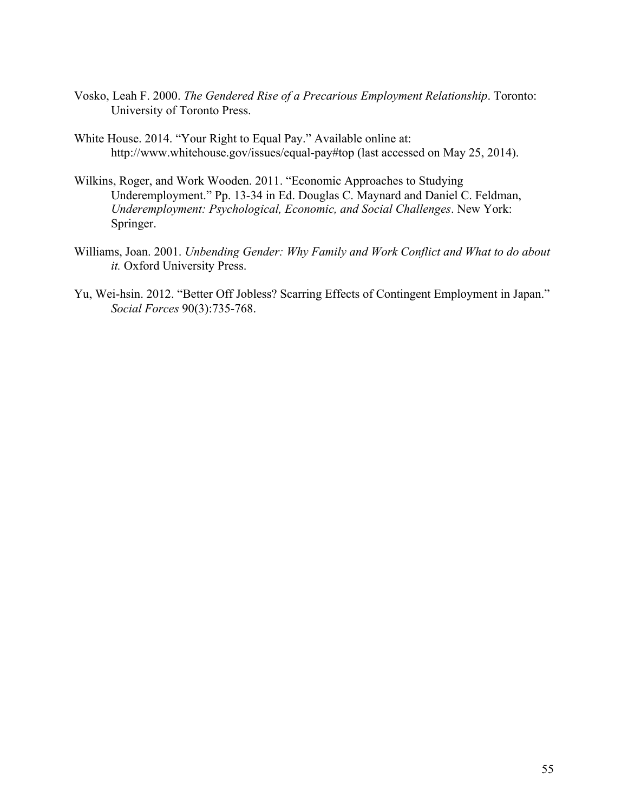- Vosko, Leah F. 2000. *The Gendered Rise of a Precarious Employment Relationship*. Toronto: University of Toronto Press.
- White House. 2014. "Your Right to Equal Pay." Available online at: http://www.whitehouse.gov/issues/equal-pay#top (last accessed on May 25, 2014).
- Wilkins, Roger, and Work Wooden. 2011. "Economic Approaches to Studying Underemployment." Pp. 13-34 in Ed. Douglas C. Maynard and Daniel C. Feldman, *Underemployment: Psychological, Economic, and Social Challenges*. New York: Springer.
- Williams, Joan. 2001. *Unbending Gender: Why Family and Work Conflict and What to do about it.* Oxford University Press.
- Yu, Wei-hsin. 2012. "Better Off Jobless? Scarring Effects of Contingent Employment in Japan." *Social Forces* 90(3):735-768.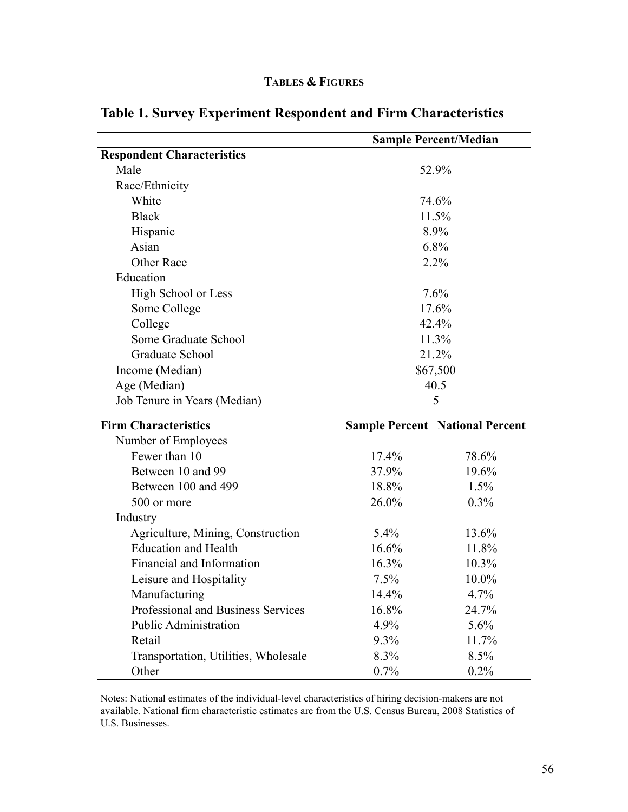|  |  | <b>TABLES &amp; FIGURES</b> |
|--|--|-----------------------------|
|--|--|-----------------------------|

|                                      | <b>Sample Percent/Median</b> |                                        |  |  |
|--------------------------------------|------------------------------|----------------------------------------|--|--|
| <b>Respondent Characteristics</b>    |                              |                                        |  |  |
| Male                                 |                              | 52.9%                                  |  |  |
| Race/Ethnicity                       |                              |                                        |  |  |
| White                                |                              | 74.6%                                  |  |  |
| <b>Black</b>                         |                              | 11.5%                                  |  |  |
| Hispanic                             |                              | 8.9%                                   |  |  |
| Asian                                |                              | 6.8%                                   |  |  |
| Other Race                           |                              | 2.2%                                   |  |  |
| Education                            |                              |                                        |  |  |
| High School or Less                  |                              | 7.6%                                   |  |  |
| Some College                         |                              | 17.6%                                  |  |  |
| College                              |                              | 42.4%                                  |  |  |
| Some Graduate School                 |                              | 11.3%                                  |  |  |
| Graduate School                      |                              | 21.2%                                  |  |  |
| Income (Median)                      |                              | \$67,500                               |  |  |
| Age (Median)                         |                              | 40.5                                   |  |  |
| Job Tenure in Years (Median)         |                              | 5                                      |  |  |
| <b>Firm Characteristics</b>          |                              | <b>Sample Percent National Percent</b> |  |  |
| Number of Employees                  |                              |                                        |  |  |
| Fewer than 10                        | 17.4%                        | 78.6%                                  |  |  |
| Between 10 and 99                    | 37.9%                        | 19.6%                                  |  |  |
| Between 100 and 499                  | 18.8%                        | 1.5%                                   |  |  |
| 500 or more                          | 26.0%                        | $0.3\%$                                |  |  |
| Industry                             |                              |                                        |  |  |
| Agriculture, Mining, Construction    | 5.4%                         | 13.6%                                  |  |  |
| <b>Education and Health</b>          | 16.6%                        | 11.8%                                  |  |  |
| Financial and Information            | 16.3%                        | 10.3%                                  |  |  |
| Leisure and Hospitality              | 7.5%                         | 10.0%                                  |  |  |
| Manufacturing                        | 14.4%                        | 4.7%                                   |  |  |
| Professional and Business Services   | 16.8%                        | 24.7%                                  |  |  |
| <b>Public Administration</b>         | 4.9%                         | 5.6%                                   |  |  |
| Retail                               | $9.3\%$                      | 11.7%                                  |  |  |
| Transportation, Utilities, Wholesale | 8.3%                         | 8.5%                                   |  |  |
| Other                                | 0.7%                         | 0.2%                                   |  |  |

# **Table 1. Survey Experiment Respondent and Firm Characteristics**

Notes: National estimates of the individual-level characteristics of hiring decision-makers are not available. National firm characteristic estimates are from the U.S. Census Bureau, 2008 Statistics of U.S. Businesses.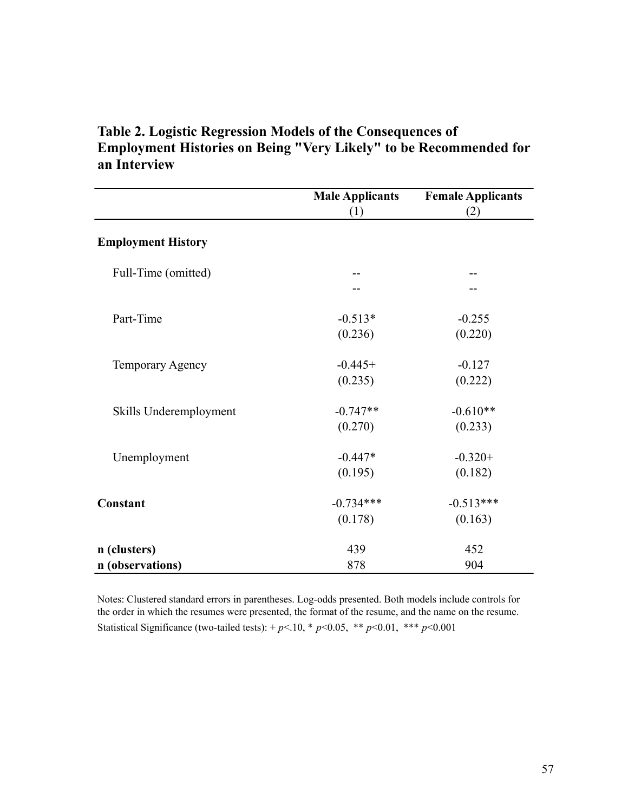| Table 2. Logistic Regression Models of the Consequences of               |
|--------------------------------------------------------------------------|
| <b>Employment Histories on Being "Very Likely" to be Recommended for</b> |
| an Interview                                                             |

|                           | <b>Male Applicants</b> | <b>Female Applicants</b> |
|---------------------------|------------------------|--------------------------|
|                           | (1)                    | (2)                      |
| <b>Employment History</b> |                        |                          |
| Full-Time (omitted)       |                        |                          |
|                           |                        |                          |
| Part-Time                 | $-0.513*$              | $-0.255$                 |
|                           | (0.236)                | (0.220)                  |
| Temporary Agency          | $-0.445+$              | $-0.127$                 |
|                           | (0.235)                | (0.222)                  |
| Skills Underemployment    | $-0.747**$             | $-0.610**$               |
|                           | (0.270)                | (0.233)                  |
| Unemployment              | $-0.447*$              | $-0.320+$                |
|                           | (0.195)                | (0.182)                  |
| Constant                  | $-0.734***$            | $-0.513***$              |
|                           | (0.178)                | (0.163)                  |
| n (clusters)              | 439                    | 452                      |
| n (observations)          | 878                    | 904                      |

Statistical Significance (two-tailed tests):  $+p<.10$ , \*  $p<0.05$ , \*\*  $p<0.01$ , \*\*\*  $p<0.001$ Notes: Clustered standard errors in parentheses. Log-odds presented. Both models include controls for the order in which the resumes were presented, the format of the resume, and the name on the resume.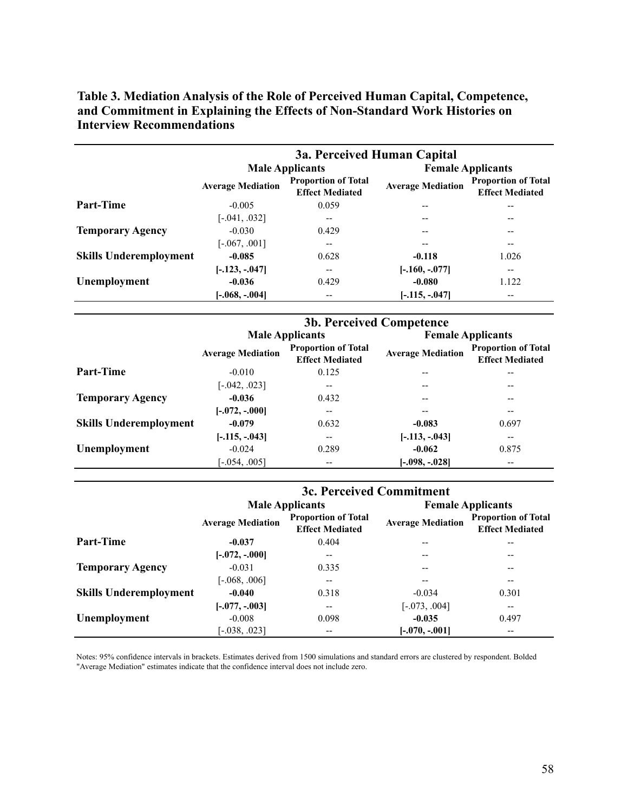|                               | 3a. Perceived Human Capital |                                                      |                          |                                                      |  |
|-------------------------------|-----------------------------|------------------------------------------------------|--------------------------|------------------------------------------------------|--|
|                               |                             | <b>Male Applicants</b>                               | <b>Female Applicants</b> |                                                      |  |
|                               | <b>Average Mediation</b>    | <b>Proportion of Total</b><br><b>Effect Mediated</b> | <b>Average Mediation</b> | <b>Proportion of Total</b><br><b>Effect Mediated</b> |  |
| <b>Part-Time</b>              | $-0.005$                    | 0.059                                                |                          |                                                      |  |
|                               | $[-.041, .032]$             |                                                      |                          |                                                      |  |
| <b>Temporary Agency</b>       | $-0.030$                    | 0.429                                                | --                       |                                                      |  |
|                               | $[-.067, .001]$             | --                                                   |                          | --                                                   |  |
| <b>Skills Underemployment</b> | $-0.085$                    | 0.628                                                | $-0.118$                 | 1.026                                                |  |
|                               | $[-.123, -.047]$            | $- -$                                                | $[-.160, -.077]$         | --                                                   |  |
| Unemployment                  | $-0.036$                    | 0.429                                                | $-0.080$                 | 1.122                                                |  |
|                               | $[-.068, -.004]$            | --                                                   | $[-.115, -.047]$         | --                                                   |  |

**Table 3. Mediation Analysis of the Role of Perceived Human Capital, Competence, and Commitment in Explaining the Effects of Non-Standard Work Histories on Interview Recommendations**

|                               | <b>3b. Perceived Competence</b> |                                                      |                          |                                                      |  |
|-------------------------------|---------------------------------|------------------------------------------------------|--------------------------|------------------------------------------------------|--|
|                               |                                 | <b>Male Applicants</b>                               | <b>Female Applicants</b> |                                                      |  |
|                               | <b>Average Mediation</b>        | <b>Proportion of Total</b><br><b>Effect Mediated</b> | <b>Average Mediation</b> | <b>Proportion of Total</b><br><b>Effect Mediated</b> |  |
| <b>Part-Time</b>              | $-0.010$                        | 0.125                                                | --                       | --                                                   |  |
|                               | $[-.042, .023]$                 | --                                                   | --                       | --                                                   |  |
| <b>Temporary Agency</b>       | $-0.036$                        | 0.432                                                | --                       | --                                                   |  |
|                               | $[-.072, -.000]$                | --                                                   |                          | --                                                   |  |
| <b>Skills Underemployment</b> | $-0.079$                        | 0.632                                                | $-0.083$                 | 0.697                                                |  |
|                               | $[-.115, -.043]$                | $- -$                                                | $[-.113, -.043]$         | $\overline{\phantom{m}}$                             |  |
| Unemployment                  | $-0.024$                        | 0.289                                                | $-0.062$                 | 0.875                                                |  |
|                               | $[-.054, .005]$                 | $-$                                                  | $[-.098, -.028]$         | $- -$                                                |  |

|                               | 3c. Perceived Commitment |                                                      |                          |                                                      |  |
|-------------------------------|--------------------------|------------------------------------------------------|--------------------------|------------------------------------------------------|--|
|                               |                          | <b>Male Applicants</b>                               | <b>Female Applicants</b> |                                                      |  |
|                               | <b>Average Mediation</b> | <b>Proportion of Total</b><br><b>Effect Mediated</b> | <b>Average Mediation</b> | <b>Proportion of Total</b><br><b>Effect Mediated</b> |  |
| <b>Part-Time</b>              | $-0.037$                 | 0.404                                                |                          |                                                      |  |
|                               | $[-.072, -.000]$         | --                                                   | --                       | --                                                   |  |
| <b>Temporary Agency</b>       | $-0.031$                 | 0.335                                                | --                       | --                                                   |  |
|                               | $[-.068, .006]$          |                                                      |                          | --                                                   |  |
| <b>Skills Underemployment</b> | $-0.040$                 | 0.318                                                | $-0.034$                 | 0.301                                                |  |
|                               | $[-.077, -.003]$         | --                                                   | $[-.073, .004]$          | $\qquad \qquad -$                                    |  |
| Unemployment                  | $-0.008$                 | 0.098                                                | $-0.035$                 | 0.497                                                |  |
|                               | $[-0.38, 0.023]$         | --                                                   | $[-.070, -.001]$         | --                                                   |  |

Notes: 95% confidence intervals in brackets. Estimates derived from 1500 simulations and standard errors are clustered by respondent. Bolded "Average Mediation" estimates indicate that the confidence interval does not include zero.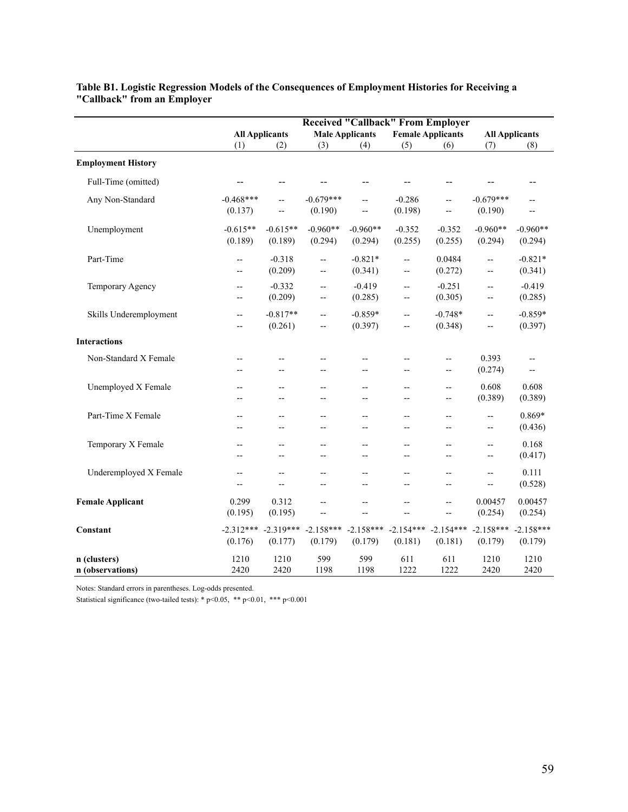|                                  | <b>Received "Callback" From Employer</b>            |                                     |                                                      |                                                      |                                 |                        |                                |                                 |
|----------------------------------|-----------------------------------------------------|-------------------------------------|------------------------------------------------------|------------------------------------------------------|---------------------------------|------------------------|--------------------------------|---------------------------------|
|                                  | <b>All Applicants</b>                               |                                     | <b>Male Applicants</b>                               |                                                      | <b>Female Applicants</b>        |                        | <b>All Applicants</b>          |                                 |
|                                  | (1)                                                 | (2)                                 | (3)                                                  | (4)                                                  | (5)                             | (6)                    | (7)                            | (8)                             |
| <b>Employment History</b>        |                                                     |                                     |                                                      |                                                      |                                 |                        |                                |                                 |
| Full-Time (omitted)              |                                                     | --                                  |                                                      | $-$                                                  |                                 | --                     |                                | $-$                             |
| Any Non-Standard                 | $-0.468***$<br>(0.137)                              | $\overline{\phantom{a}}$<br>$-$     | $-0.679***$<br>(0.190)                               | $\overline{\phantom{a}}$<br>$\overline{\phantom{a}}$ | $-0.286$<br>(0.198)             | --<br>$-$              | $-0.679***$<br>(0.190)         | $-$<br>$-$                      |
| Unemployment                     | $-0.615**$<br>(0.189)                               | $-0.615**$<br>(0.189)               | $-0.960**$<br>(0.294)                                | $-0.960**$<br>(0.294)                                | $-0.352$<br>(0.255)             | $-0.352$<br>(0.255)    | $-0.960**$<br>(0.294)          | $-0.960**$<br>(0.294)           |
| Part-Time                        | --<br>--                                            | $-0.318$<br>(0.209)                 | $\overline{\phantom{a}}$<br>$\overline{\phantom{a}}$ | $-0.821*$<br>(0.341)                                 | $-$<br>--                       | 0.0484<br>(0.272)      | --<br>$\overline{\phantom{a}}$ | $-0.821*$<br>(0.341)            |
| Temporary Agency                 | --<br>$\overline{\phantom{a}}$                      | $-0.332$<br>(0.209)                 | $\overline{\phantom{a}}$<br>$\overline{a}$           | $-0.419$<br>(0.285)                                  | $\overline{a}$<br>$-$           | $-0.251$<br>(0.305)    | --<br>--                       | $-0.419$<br>(0.285)             |
| Skills Underemployment           | $-$<br>--                                           | $-0.817**$<br>(0.261)               | Ξ.<br>--                                             | $-0.859*$<br>(0.397)                                 | $-$<br>--                       | $-0.748*$<br>(0.348)   | --<br>--                       | $-0.859*$<br>(0.397)            |
| <b>Interactions</b>              |                                                     |                                     |                                                      |                                                      |                                 |                        |                                |                                 |
| Non-Standard X Female            | --                                                  | $-$                                 | $-$                                                  | $-$<br>$-$                                           | $-$<br>$\overline{a}$           | --<br>$-$              | 0.393<br>(0.274)               | $-$<br>$\overline{\phantom{a}}$ |
| Unemployed X Female              | $\overline{a}$<br>--                                | $\overline{\phantom{a}}$<br>--      | $-$                                                  | $-$<br>--                                            | --<br>$-$                       | $- -$<br>--            | 0.608<br>(0.389)               | 0.608<br>(0.389)                |
| Part-Time X Female               | $-$<br>$\overline{a}$                               | $-$<br>$\overline{a}$               | $-$<br>$\overline{a}$                                | $-$<br>$\overline{a}$                                | $-$<br>$-$                      | --<br>$\overline{a}$   | --<br>--                       | $0.869*$<br>(0.436)             |
| Temporary X Female               | $-$<br>$\overline{a}$                               | $-$<br>--                           | $\overline{\phantom{a}}$                             | $\overline{\phantom{a}}$<br>$- -$                    | $\overline{\phantom{0}}$<br>$-$ | --<br>--               | --<br>--                       | 0.168<br>(0.417)                |
| Underemployed X Female           | $\hspace{0.05cm} -\hspace{0.05cm} -\hspace{0.05cm}$ | $\hspace{0.05cm}$ $\hspace{0.05cm}$ | $\overline{\phantom{a}}$                             | $- -$<br>$-$                                         | --<br>$- -$                     | --<br>--               | --<br>--                       | 0.111<br>(0.528)                |
| <b>Female Applicant</b>          | 0.299<br>(0.195)                                    | 0.312<br>(0.195)                    | $\overline{a}$<br>$-$                                | $-$<br>$-$                                           | $-$<br>$-$                      | $-$<br>--              | 0.00457<br>(0.254)             | 0.00457<br>(0.254)              |
| Constant                         | $-2.312***$<br>(0.176)                              | $-2.319***$<br>(0.177)              | $-2.158***$<br>(0.179)                               | $-2.158***$<br>(0.179)                               | $-2.154***$<br>(0.181)          | $-2.154***$<br>(0.181) | $-2.158***$<br>(0.179)         | $-2.158***$<br>(0.179)          |
| n (clusters)<br>n (observations) | 1210<br>2420                                        | 1210<br>2420                        | 599<br>1198                                          | 599<br>1198                                          | 611<br>1222                     | 611<br>1222            | 1210<br>2420                   | 1210<br>2420                    |

## **Table B1. Logistic Regression Models of the Consequences of Employment Histories for Receiving a "Callback" from an Employer**

Notes: Standard errors in parentheses. Log-odds presented.

Statistical significance (two-tailed tests): \* p<0.05, \*\* p<0.01, \*\*\* p<0.001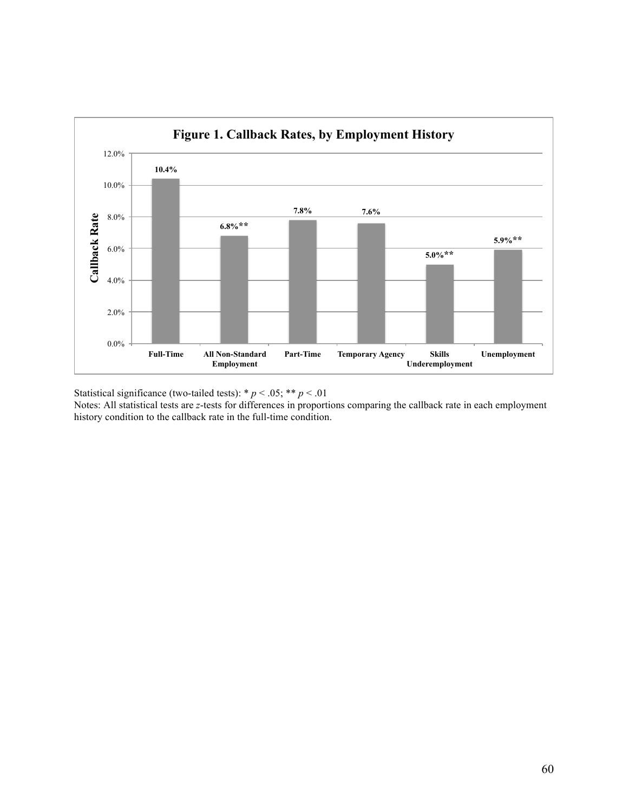

Statistical significance (two-tailed tests):  $* p < .05; ** p < .01$ Notes: All statistical tests are *z*-tests for differences in proportions comparing the callback rate in each employment history condition to the callback rate in the full-time condition.